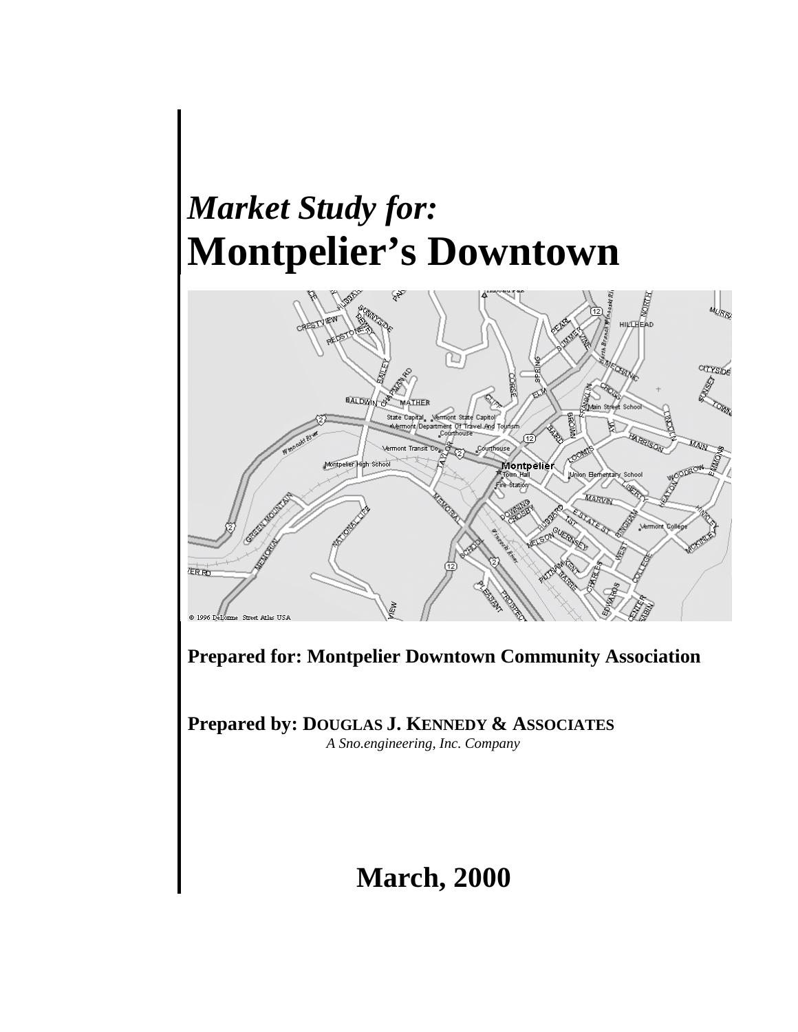# *Market Study for:* **Montpelier's Downtown**



**Prepared for: Montpelier Downtown Community Association**

**Prepared by: DOUGLAS J. KENNEDY & ASSOCIATES** *A Sno.engineering, Inc. Company*

## **March, 2000**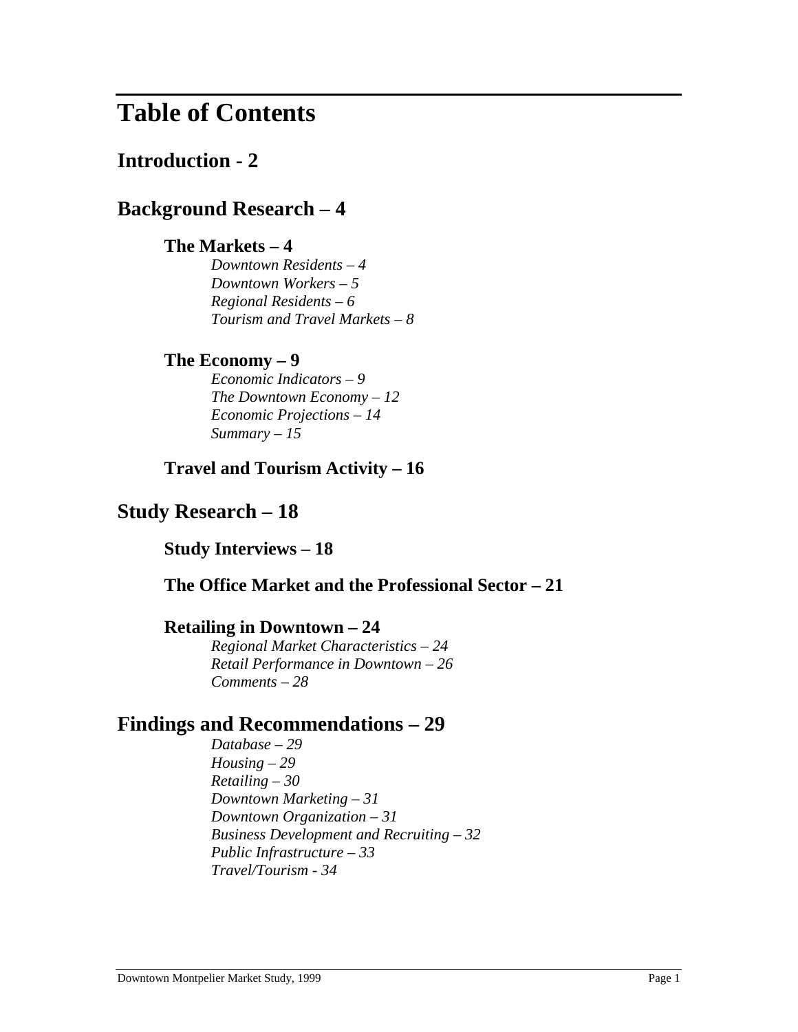## **Table of Contents**

## **Introduction - 2**

## **Background Research – 4**

## **The Markets – 4**

*Downtown Residents – 4 Downtown Workers – 5 Regional Residents – 6 Tourism and Travel Markets – 8*

## **The Economy – 9**

*Economic Indicators – 9 The Downtown Economy – 12 Economic Projections – 14 Summary – 15*

## **Travel and Tourism Activity – 16**

## **Study Research – 18**

**Study Interviews – 18**

## **The Office Market and the Professional Sector – 21**

### **Retailing in Downtown – 24**

*Regional Market Characteristics – 24 Retail Performance in Downtown – 26 Comments – 28*

## **Findings and Recommendations – 29**

*Database – 29 Housing – 29 Retailing – 30 Downtown Marketing – 31 Downtown Organization – 31 Business Development and Recruiting – 32 Public Infrastructure – 33 Travel/Tourism - 34*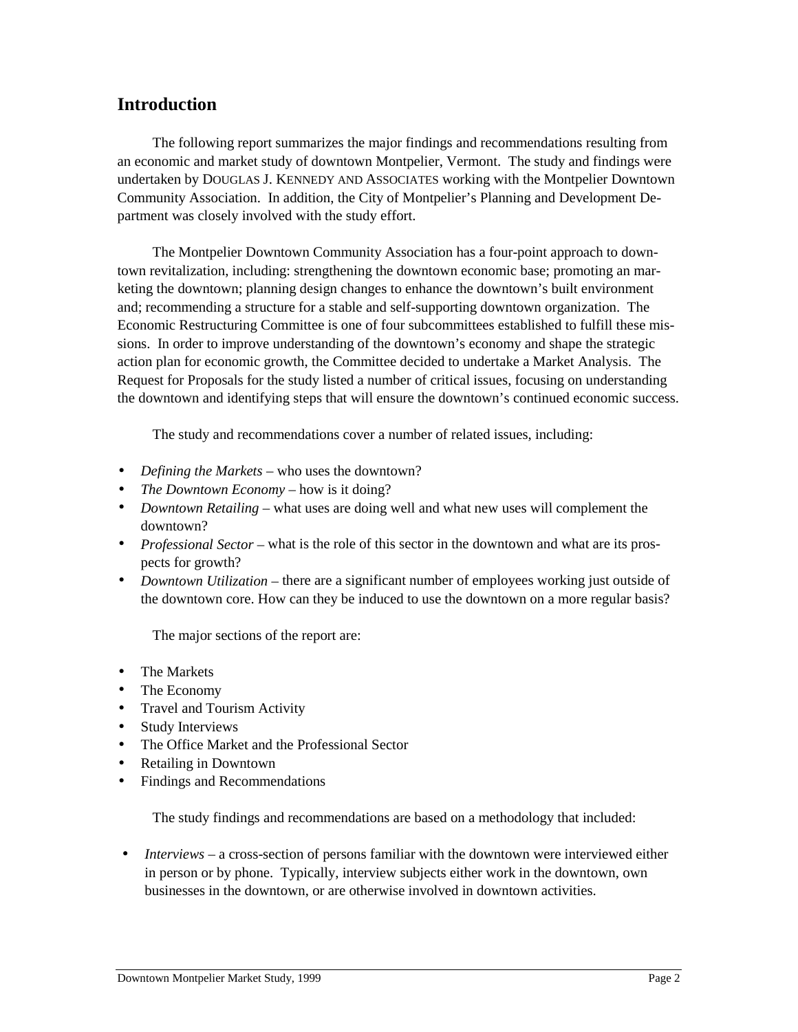## **Introduction**

The following report summarizes the major findings and recommendations resulting from an economic and market study of downtown Montpelier, Vermont. The study and findings were undertaken by DOUGLAS J. KENNEDY AND ASSOCIATES working with the Montpelier Downtown Community Association. In addition, the City of Montpelier's Planning and Development Department was closely involved with the study effort.

The Montpelier Downtown Community Association has a four-point approach to downtown revitalization, including: strengthening the downtown economic base; promoting an marketing the downtown; planning design changes to enhance the downtown's built environment and; recommending a structure for a stable and self-supporting downtown organization. The Economic Restructuring Committee is one of four subcommittees established to fulfill these missions. In order to improve understanding of the downtown's economy and shape the strategic action plan for economic growth, the Committee decided to undertake a Market Analysis. The Request for Proposals for the study listed a number of critical issues, focusing on understanding the downtown and identifying steps that will ensure the downtown's continued economic success.

The study and recommendations cover a number of related issues, including:

- *Defining the Markets* who uses the downtown?
- *The Downtown Economy –* how is it doing?
- *Downtown Retailing* what uses are doing well and what new uses will complement the downtown?
- *Professional Sector* what is the role of this sector in the downtown and what are its prospects for growth?
- *Downtown Utilization* there are a significant number of employees working just outside of the downtown core. How can they be induced to use the downtown on a more regular basis?

The major sections of the report are:

- The Markets
- The Economy
- Travel and Tourism Activity
- Study Interviews
- The Office Market and the Professional Sector
- Retailing in Downtown
- Findings and Recommendations

The study findings and recommendations are based on a methodology that included:

• *Interviews* – a cross-section of persons familiar with the downtown were interviewed either in person or by phone. Typically, interview subjects either work in the downtown, own businesses in the downtown, or are otherwise involved in downtown activities.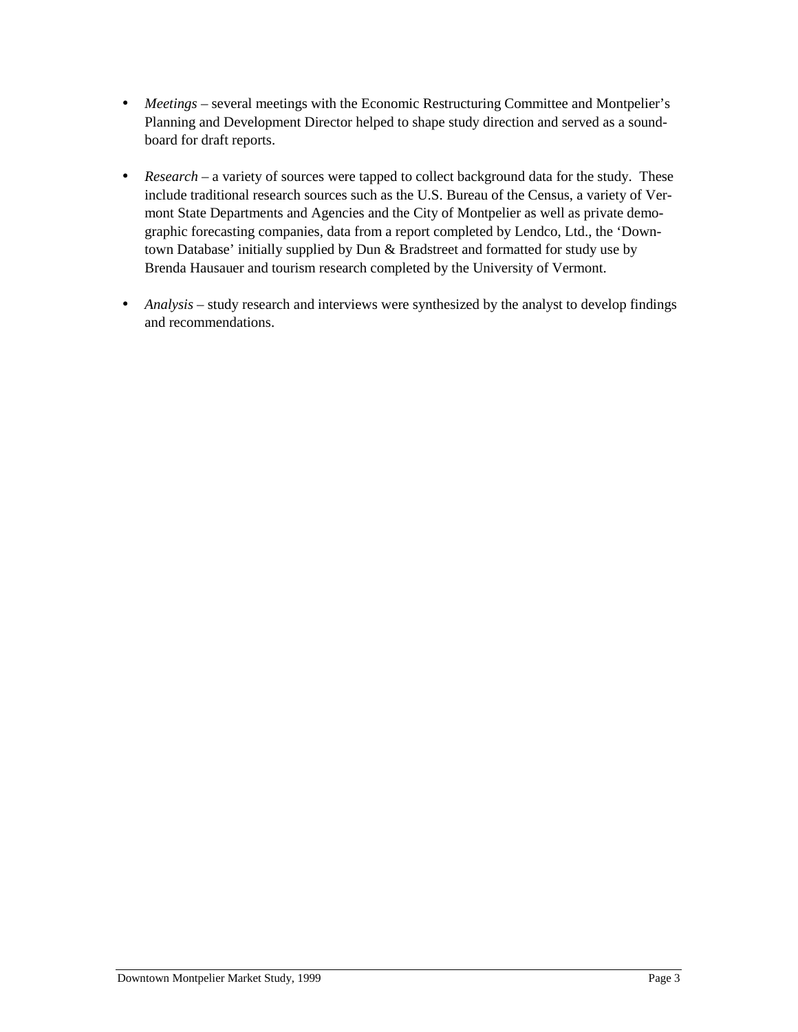- *Meetings* several meetings with the Economic Restructuring Committee and Montpelier's Planning and Development Director helped to shape study direction and served as a soundboard for draft reports.
- *Research* a variety of sources were tapped to collect background data for the study. These include traditional research sources such as the U.S. Bureau of the Census, a variety of Vermont State Departments and Agencies and the City of Montpelier as well as private demographic forecasting companies, data from a report completed by Lendco, Ltd., the 'Downtown Database' initially supplied by Dun & Bradstreet and formatted for study use by Brenda Hausauer and tourism research completed by the University of Vermont.
- *Analysis* study research and interviews were synthesized by the analyst to develop findings and recommendations.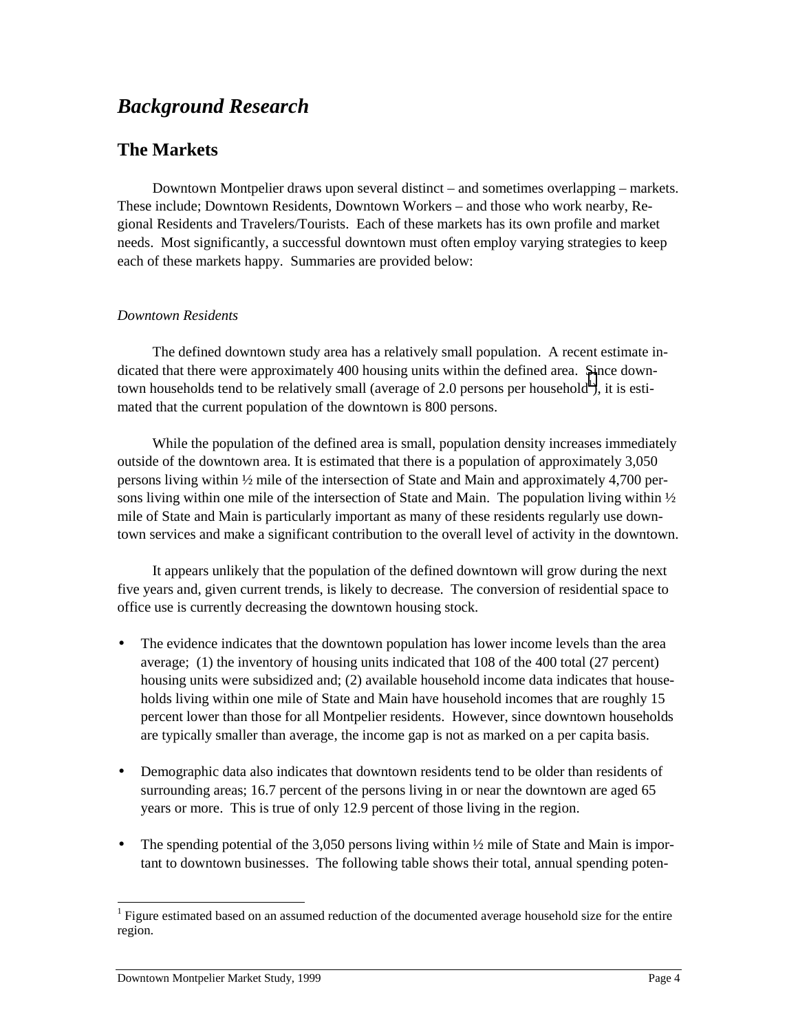## *Background Research*

## **The Markets**

Downtown Montpelier draws upon several distinct – and sometimes overlapping – markets. These include; Downtown Residents, Downtown Workers – and those who work nearby, Regional Residents and Travelers/Tourists. Each of these markets has its own profile and market needs. Most significantly, a successful downtown must often employ varying strategies to keep each of these markets happy. Summaries are provided below:

#### *Downtown Residents*

The defined downtown study area has a relatively small population. A recent estimate indicated that there were approximately 400 housing units within the defined area. Since downtown households tend to be relatively small (average of 2.0 persons per household<sup>1</sup>), it is estimated that the current population of the downtown is 800 persons.

While the population of the defined area is small, population density increases immediately outside of the downtown area. It is estimated that there is a population of approximately 3,050 persons living within ½ mile of the intersection of State and Main and approximately 4,700 persons living within one mile of the intersection of State and Main. The population living within  $\frac{1}{2}$ mile of State and Main is particularly important as many of these residents regularly use downtown services and make a significant contribution to the overall level of activity in the downtown.

It appears unlikely that the population of the defined downtown will grow during the next five years and, given current trends, is likely to decrease. The conversion of residential space to office use is currently decreasing the downtown housing stock.

- The evidence indicates that the downtown population has lower income levels than the area average; (1) the inventory of housing units indicated that 108 of the 400 total (27 percent) housing units were subsidized and; (2) available household income data indicates that households living within one mile of State and Main have household incomes that are roughly 15 percent lower than those for all Montpelier residents. However, since downtown households are typically smaller than average, the income gap is not as marked on a per capita basis.
- Demographic data also indicates that downtown residents tend to be older than residents of surrounding areas; 16.7 percent of the persons living in or near the downtown are aged 65 years or more. This is true of only 12.9 percent of those living in the region.
- The spending potential of the 3,050 persons living within  $\frac{1}{2}$  mile of State and Main is important to downtown businesses. The following table shows their total, annual spending poten-

 $\overline{a}$  $1$  Figure estimated based on an assumed reduction of the documented average household size for the entire region.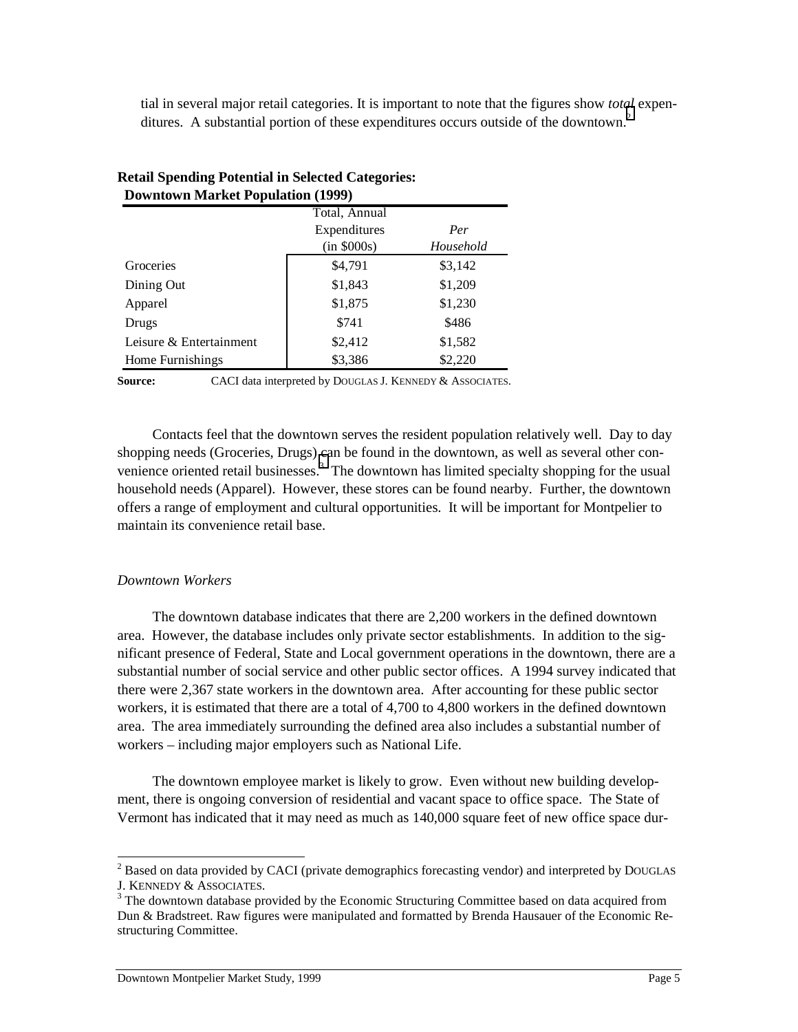tial in several major retail categories. It is important to note that the figures show *total* expenditures. A substantial portion of these expenditures occurs outside of the downtown.<sup>2</sup>

|                         | <b>Downtown Market Population (1999)</b> |           |  |  |  |  |  |  |  |
|-------------------------|------------------------------------------|-----------|--|--|--|--|--|--|--|
|                         | Total, Annual                            |           |  |  |  |  |  |  |  |
|                         | Expenditures                             | Per       |  |  |  |  |  |  |  |
|                         | (in \$000s)                              | Household |  |  |  |  |  |  |  |
| Groceries               | \$4,791                                  | \$3,142   |  |  |  |  |  |  |  |
| Dining Out              | \$1,843                                  | \$1,209   |  |  |  |  |  |  |  |
| Apparel                 | \$1,875                                  | \$1,230   |  |  |  |  |  |  |  |
| Drugs                   | \$741                                    | \$486     |  |  |  |  |  |  |  |
| Leisure & Entertainment | \$2,412                                  | \$1,582   |  |  |  |  |  |  |  |
| Home Furnishings        | \$3,386                                  | \$2,220   |  |  |  |  |  |  |  |

#### **Retail Spending Potential in Selected Categories: Downtown Market Population (1999)**

Source: CACI data interpreted by DOUGLAS J. KENNEDY & ASSOCIATES.

Contacts feel that the downtown serves the resident population relatively well. Day to day shopping needs (Groceries, Drugs) can be found in the downtown, as well as several other convenience oriented retail businesses. $3$  The downtown has limited specialty shopping for the usual household needs (Apparel). However, these stores can be found nearby. Further, the downtown offers a range of employment and cultural opportunities. It will be important for Montpelier to maintain its convenience retail base.

#### *Downtown Workers*

The downtown database indicates that there are 2,200 workers in the defined downtown area. However, the database includes only private sector establishments. In addition to the significant presence of Federal, State and Local government operations in the downtown, there are a substantial number of social service and other public sector offices. A 1994 survey indicated that there were 2,367 state workers in the downtown area. After accounting for these public sector workers, it is estimated that there are a total of 4,700 to 4,800 workers in the defined downtown area. The area immediately surrounding the defined area also includes a substantial number of workers – including major employers such as National Life.

The downtown employee market is likely to grow. Even without new building development, there is ongoing conversion of residential and vacant space to office space. The State of Vermont has indicated that it may need as much as 140,000 square feet of new office space dur-

<sup>&</sup>lt;sup>2</sup> Based on data provided by CACI (private demographics forecasting vendor) and interpreted by DOUGLAS J. KENNEDY & ASSOCIATES.

<sup>&</sup>lt;sup>3</sup> The downtown database provided by the Economic Structuring Committee based on data acquired from Dun & Bradstreet. Raw figures were manipulated and formatted by Brenda Hausauer of the Economic Restructuring Committee.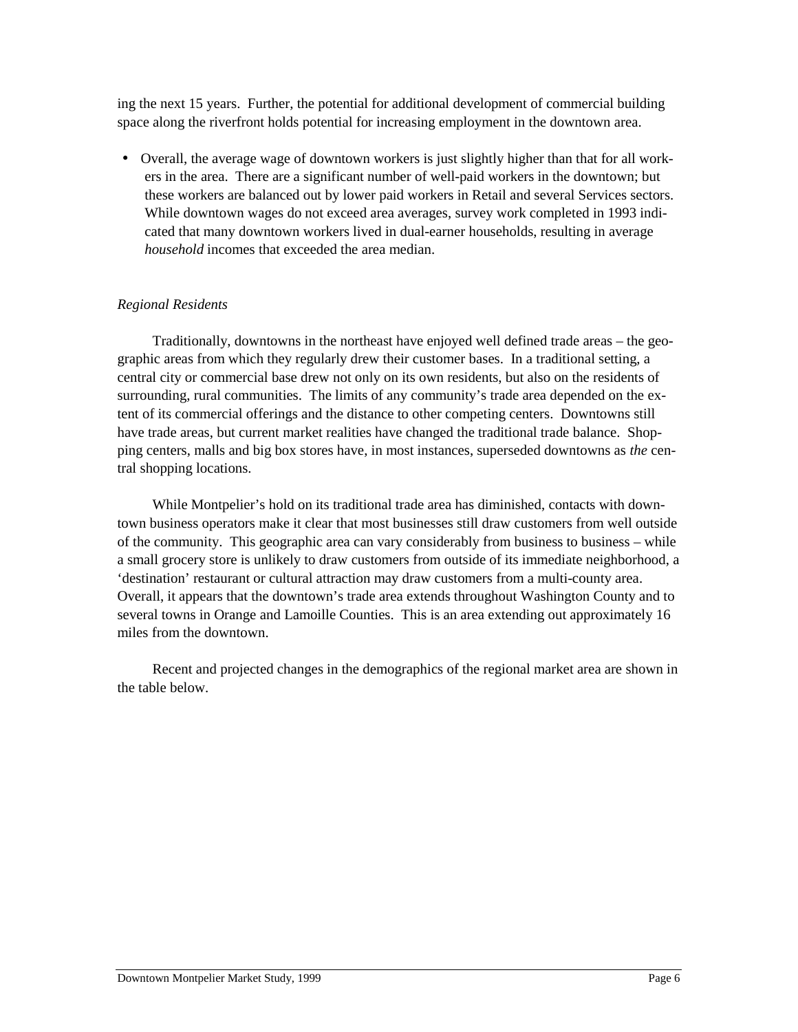ing the next 15 years. Further, the potential for additional development of commercial building space along the riverfront holds potential for increasing employment in the downtown area.

• Overall, the average wage of downtown workers is just slightly higher than that for all workers in the area. There are a significant number of well-paid workers in the downtown; but these workers are balanced out by lower paid workers in Retail and several Services sectors. While downtown wages do not exceed area averages, survey work completed in 1993 indicated that many downtown workers lived in dual-earner households, resulting in average *household* incomes that exceeded the area median.

#### *Regional Residents*

Traditionally, downtowns in the northeast have enjoyed well defined trade areas – the geographic areas from which they regularly drew their customer bases. In a traditional setting, a central city or commercial base drew not only on its own residents, but also on the residents of surrounding, rural communities. The limits of any community's trade area depended on the extent of its commercial offerings and the distance to other competing centers. Downtowns still have trade areas, but current market realities have changed the traditional trade balance. Shopping centers, malls and big box stores have, in most instances, superseded downtowns as *the* central shopping locations.

While Montpelier's hold on its traditional trade area has diminished, contacts with downtown business operators make it clear that most businesses still draw customers from well outside of the community. This geographic area can vary considerably from business to business – while a small grocery store is unlikely to draw customers from outside of its immediate neighborhood, a 'destination' restaurant or cultural attraction may draw customers from a multi-county area. Overall, it appears that the downtown's trade area extends throughout Washington County and to several towns in Orange and Lamoille Counties. This is an area extending out approximately 16 miles from the downtown.

Recent and projected changes in the demographics of the regional market area are shown in the table below.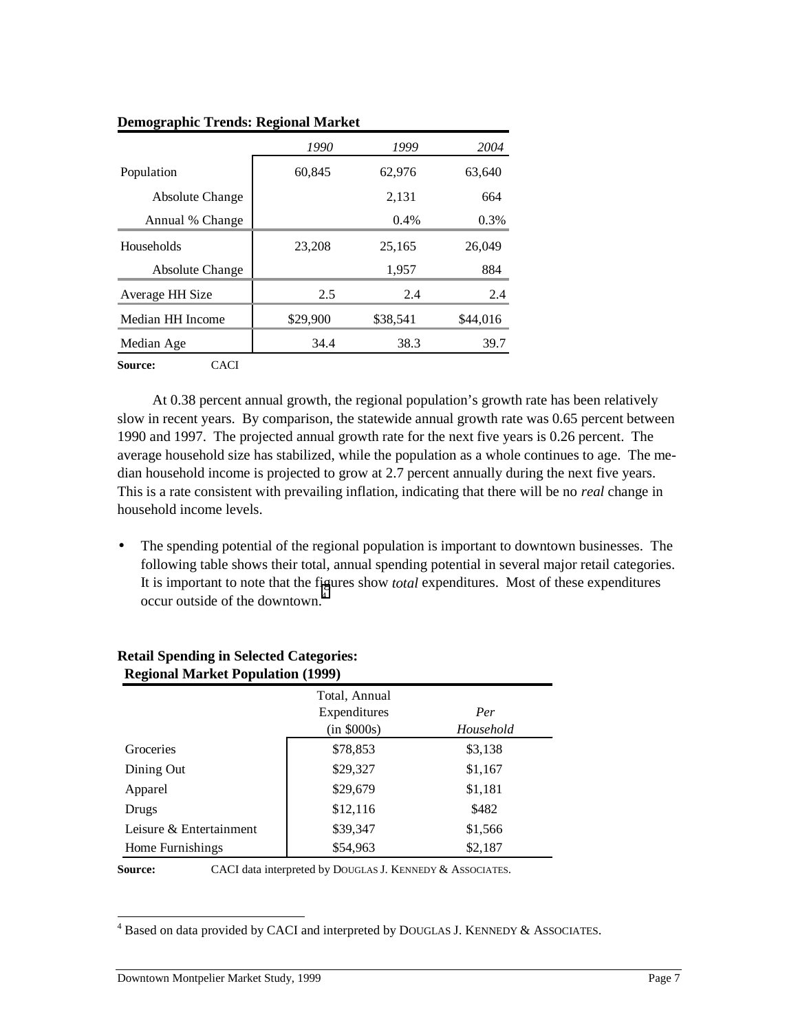| 1990     | 1999     | 2004     |
|----------|----------|----------|
| 60,845   | 62,976   | 63,640   |
|          | 2,131    | 664      |
|          | $0.4\%$  | 0.3%     |
| 23,208   | 25,165   | 26,049   |
|          | 1,957    | 884      |
| 2.5      | 2.4      | 2.4      |
| \$29,900 | \$38,541 | \$44,016 |
| 34.4     | 38.3     | 39.7     |
|          |          |          |

#### **Demographic Trends: Regional Market**

**Source:** CACI

At 0.38 percent annual growth, the regional population's growth rate has been relatively slow in recent years. By comparison, the statewide annual growth rate was 0.65 percent between 1990 and 1997. The projected annual growth rate for the next five years is 0.26 percent. The average household size has stabilized, while the population as a whole continues to age. The median household income is projected to grow at 2.7 percent annually during the next five years. This is a rate consistent with prevailing inflation, indicating that there will be no *real* change in household income levels.

• The spending potential of the regional population is important to downtown businesses. The following table shows their total, annual spending potential in several major retail categories. It is important to note that the figures show *total* expenditures. Most of these expenditures occur outside of the downtown.4

| <b>Regional Market Population (1999)</b> |                                              |                  |  |  |  |  |  |  |
|------------------------------------------|----------------------------------------------|------------------|--|--|--|--|--|--|
|                                          | Total, Annual<br>Expenditures<br>(in \$000s) | Per<br>Household |  |  |  |  |  |  |
| Groceries                                | \$78,853                                     | \$3,138          |  |  |  |  |  |  |
| Dining Out                               | \$29,327                                     | \$1,167          |  |  |  |  |  |  |
| Apparel                                  | \$29,679                                     | \$1,181          |  |  |  |  |  |  |
| Drugs                                    | \$12,116                                     | \$482            |  |  |  |  |  |  |
| Leisure & Entertainment                  | \$39,347                                     | \$1,566          |  |  |  |  |  |  |
| Home Furnishings                         | \$54,963                                     | \$2,187          |  |  |  |  |  |  |

## **Retail Spending in Selected Categories:**

Source: CACI data interpreted by DOUGLAS J. KENNEDY & ASSOCIATES.

 $\overline{a}$ 

 $4$  Based on data provided by CACI and interpreted by DOUGLAS J. KENNEDY & ASSOCIATES.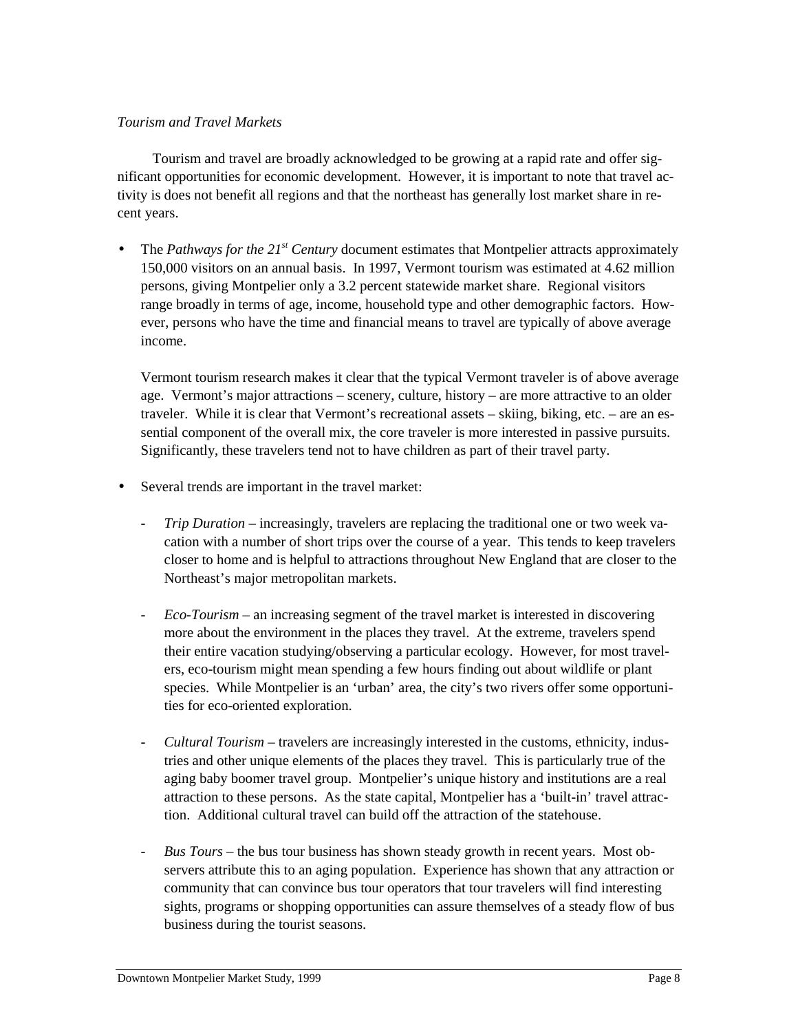#### *Tourism and Travel Markets*

Tourism and travel are broadly acknowledged to be growing at a rapid rate and offer significant opportunities for economic development. However, it is important to note that travel activity is does not benefit all regions and that the northeast has generally lost market share in recent years.

• The *Pathways for the 21<sup>st</sup> Century* document estimates that Montpelier attracts approximately 150,000 visitors on an annual basis. In 1997, Vermont tourism was estimated at 4.62 million persons, giving Montpelier only a 3.2 percent statewide market share. Regional visitors range broadly in terms of age, income, household type and other demographic factors. However, persons who have the time and financial means to travel are typically of above average income.

Vermont tourism research makes it clear that the typical Vermont traveler is of above average age. Vermont's major attractions – scenery, culture, history – are more attractive to an older traveler. While it is clear that Vermont's recreational assets – skiing, biking, etc. – are an essential component of the overall mix, the core traveler is more interested in passive pursuits. Significantly, these travelers tend not to have children as part of their travel party.

- Several trends are important in the travel market:
	- *Trip Duration* increasingly, travelers are replacing the traditional one or two week vacation with a number of short trips over the course of a year. This tends to keep travelers closer to home and is helpful to attractions throughout New England that are closer to the Northeast's major metropolitan markets.
	- *Eco-Tourism –* an increasing segment of the travel market is interested in discovering more about the environment in the places they travel. At the extreme, travelers spend their entire vacation studying/observing a particular ecology. However, for most travelers, eco-tourism might mean spending a few hours finding out about wildlife or plant species. While Montpelier is an 'urban' area, the city's two rivers offer some opportunities for eco-oriented exploration.
	- *Cultural Tourism –* travelers are increasingly interested in the customs, ethnicity, industries and other unique elements of the places they travel. This is particularly true of the aging baby boomer travel group. Montpelier's unique history and institutions are a real attraction to these persons. As the state capital, Montpelier has a 'built-in' travel attraction. Additional cultural travel can build off the attraction of the statehouse.
	- *Bus Tours* the bus tour business has shown steady growth in recent years. Most observers attribute this to an aging population. Experience has shown that any attraction or community that can convince bus tour operators that tour travelers will find interesting sights, programs or shopping opportunities can assure themselves of a steady flow of bus business during the tourist seasons.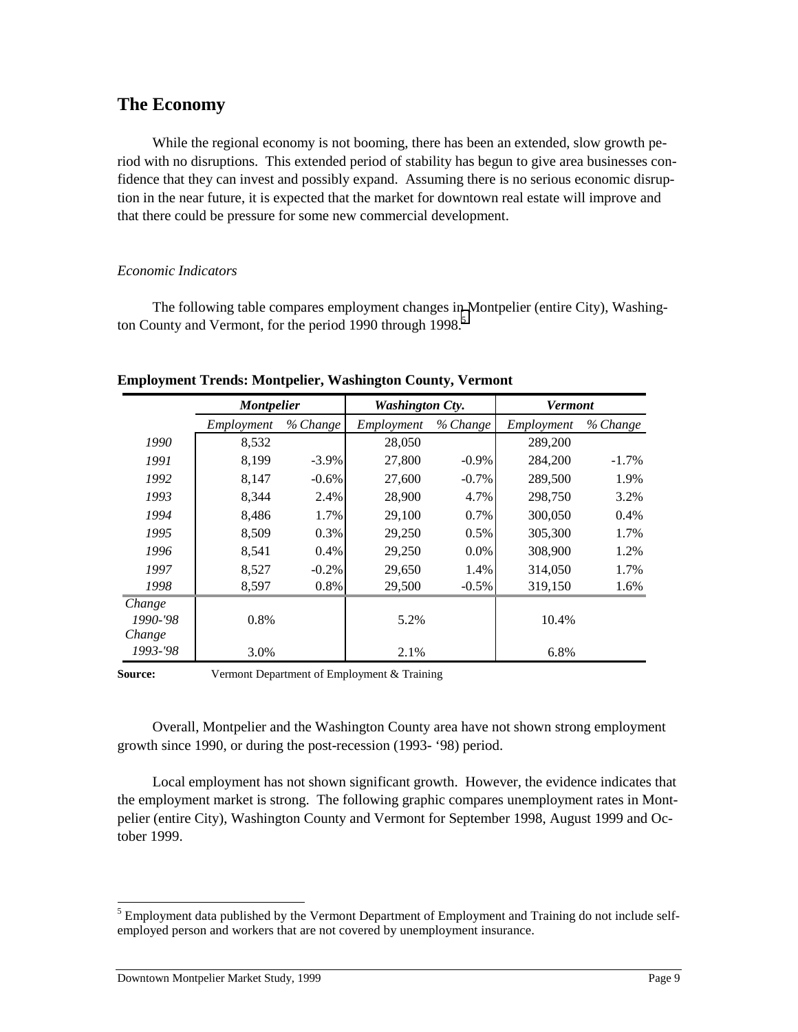## **The Economy**

While the regional economy is not booming, there has been an extended, slow growth period with no disruptions. This extended period of stability has begun to give area businesses confidence that they can invest and possibly expand. Assuming there is no serious economic disruption in the near future, it is expected that the market for downtown real estate will improve and that there could be pressure for some new commercial development.

#### *Economic Indicators*

The following table compares employment changes in Montpelier (entire City), Washington County and Vermont, for the period 1990 through 1998.<sup>5</sup>

|          | <b>Montpelier</b> |          | <b>Washington Cty.</b> |          | <b>Vermont</b> |          |
|----------|-------------------|----------|------------------------|----------|----------------|----------|
|          | Employment        | % Change | Employment             | % Change | Employment     | % Change |
| 1990     | 8,532             |          | 28,050                 |          | 289,200        |          |
| 1991     | 8.199             | $-3.9\%$ | 27,800                 | $-0.9\%$ | 284,200        | $-1.7\%$ |
| 1992     | 8.147             | $-0.6\%$ | 27,600                 | $-0.7\%$ | 289,500        | 1.9%     |
| 1993     | 8.344             | $2.4\%$  | 28,900                 | 4.7%     | 298,750        | 3.2%     |
| 1994     | 8.486             | $1.7\%$  | 29,100                 | $0.7\%$  | 300,050        | 0.4%     |
| 1995     | 8.509             | $0.3\%$  | 29,250                 | $0.5\%$  | 305,300        | 1.7%     |
| 1996     | 8,541             | $0.4\%$  | 29,250                 | $0.0\%$  | 308,900        | 1.2%     |
| 1997     | 8,527             | $-0.2\%$ | 29,650                 | 1.4%     | 314,050        | 1.7%     |
| 1998     | 8,597             | $0.8\%$  | 29,500                 | $-0.5\%$ | 319,150        | 1.6%     |
| Change   |                   |          |                        |          |                |          |
| 1990-'98 | 0.8%              |          | 5.2%                   |          | 10.4%          |          |
| Change   |                   |          |                        |          |                |          |
| 1993-'98 | 3.0%              |          | 2.1%                   |          | 6.8%           |          |

**Employment Trends: Montpelier, Washington County, Vermont**

**Source:** Vermont Department of Employment & Training

Overall, Montpelier and the Washington County area have not shown strong employment growth since 1990, or during the post-recession (1993- '98) period.

Local employment has not shown significant growth. However, the evidence indicates that the employment market is strong. The following graphic compares unemployment rates in Montpelier (entire City), Washington County and Vermont for September 1998, August 1999 and October 1999.

<sup>&</sup>lt;sup>5</sup><br><sup>5</sup> Employment data published by the Vermont Department of Employment and Training do not include selfemployed person and workers that are not covered by unemployment insurance.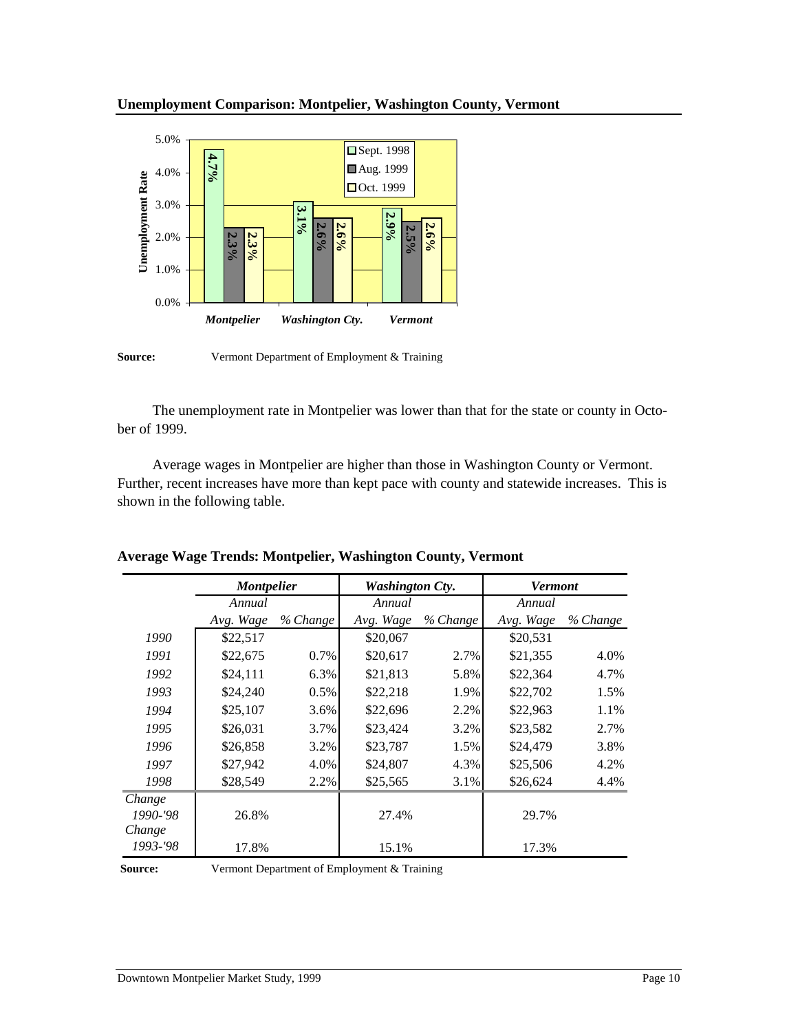

The unemployment rate in Montpelier was lower than that for the state or county in October of 1999.

Average wages in Montpelier are higher than those in Washington County or Vermont. Further, recent increases have more than kept pace with county and statewide increases. This is shown in the following table.

| 4.0%<br><b>Unemployment Rate</b><br>3.0%<br>2.0%<br>1.0%<br>$0.0\%$<br><b>Source:</b> | $4.7\%$<br>$2.3\%$<br>30/<br>Montpelier                                                                                                                                                                                                                         | $3.1\%$<br>$2.6\%$<br><b>Washington Cty.</b> | □ Oct. 1999<br>$2.9\%$<br>$2.6\%$<br>$2.5\%$<br><b>Vermont</b><br>Vermont Department of Employment & Training | $2.6\%$  |                |          |
|---------------------------------------------------------------------------------------|-----------------------------------------------------------------------------------------------------------------------------------------------------------------------------------------------------------------------------------------------------------------|----------------------------------------------|---------------------------------------------------------------------------------------------------------------|----------|----------------|----------|
| ber of 1999.<br>shown in the following table.                                         | The unemployment rate in Montpelier was lower than that for the state or county in<br>Average wages in Montpelier are higher than those in Washington County or Verm<br>Further, recent increases have more than kept pace with county and statewide increases. |                                              |                                                                                                               |          |                |          |
|                                                                                       | Average Wage Trends: Montpelier, Washington County, Vermont                                                                                                                                                                                                     |                                              |                                                                                                               |          |                |          |
|                                                                                       |                                                                                                                                                                                                                                                                 |                                              |                                                                                                               |          | <b>Vermont</b> |          |
|                                                                                       | <b>Montpelier</b><br>Annual                                                                                                                                                                                                                                     |                                              | <b>Washington Cty.</b><br>Annual                                                                              |          | Annual         |          |
|                                                                                       | Avg. Wage                                                                                                                                                                                                                                                       | % Change                                     | Avg. Wage                                                                                                     | % Change | Avg. Wage      | % Change |
| 1990                                                                                  | \$22,517                                                                                                                                                                                                                                                        |                                              | \$20,067                                                                                                      |          | \$20,531       |          |
| 1991                                                                                  | \$22,675                                                                                                                                                                                                                                                        | 0.7%                                         | \$20,617                                                                                                      | 2.7%     | \$21,355       | 4.0%     |
| 1992                                                                                  | \$24,111                                                                                                                                                                                                                                                        | 6.3%                                         | \$21,813                                                                                                      | 5.8%     | \$22,364       | 4.7%     |
| 1993                                                                                  | \$24,240                                                                                                                                                                                                                                                        | 0.5%                                         | \$22,218                                                                                                      | 1.9%     | \$22,702       | 1.5%     |
| 1994                                                                                  | \$25,107                                                                                                                                                                                                                                                        | 3.6%                                         | \$22,696                                                                                                      | 2.2%     | \$22,963       | 1.1%     |
| 1995                                                                                  | \$26,031                                                                                                                                                                                                                                                        | 3.7%                                         | \$23,424                                                                                                      | 3.2%     | \$23,582       | 2.7%     |
| 1996                                                                                  | \$26,858                                                                                                                                                                                                                                                        | 3.2%                                         | \$23,787                                                                                                      | 1.5%     | \$24,479       | 3.8%     |
| 1997                                                                                  | \$27,942                                                                                                                                                                                                                                                        | 4.0%                                         | \$24,807                                                                                                      | 4.3%     | \$25,506       | 4.2%     |
| 1998                                                                                  | \$28,549                                                                                                                                                                                                                                                        | 2.2%                                         | \$25,565                                                                                                      | 3.1%     | \$26,624       | 4.4%     |
| Change<br>1990-'98<br>Change                                                          | 26.8%                                                                                                                                                                                                                                                           |                                              | 27.4%                                                                                                         |          | 29.7%          |          |

**Average Wage Trends: Montpelier, Washington County, Vermont**

**Source:** Vermont Department of Employment & Training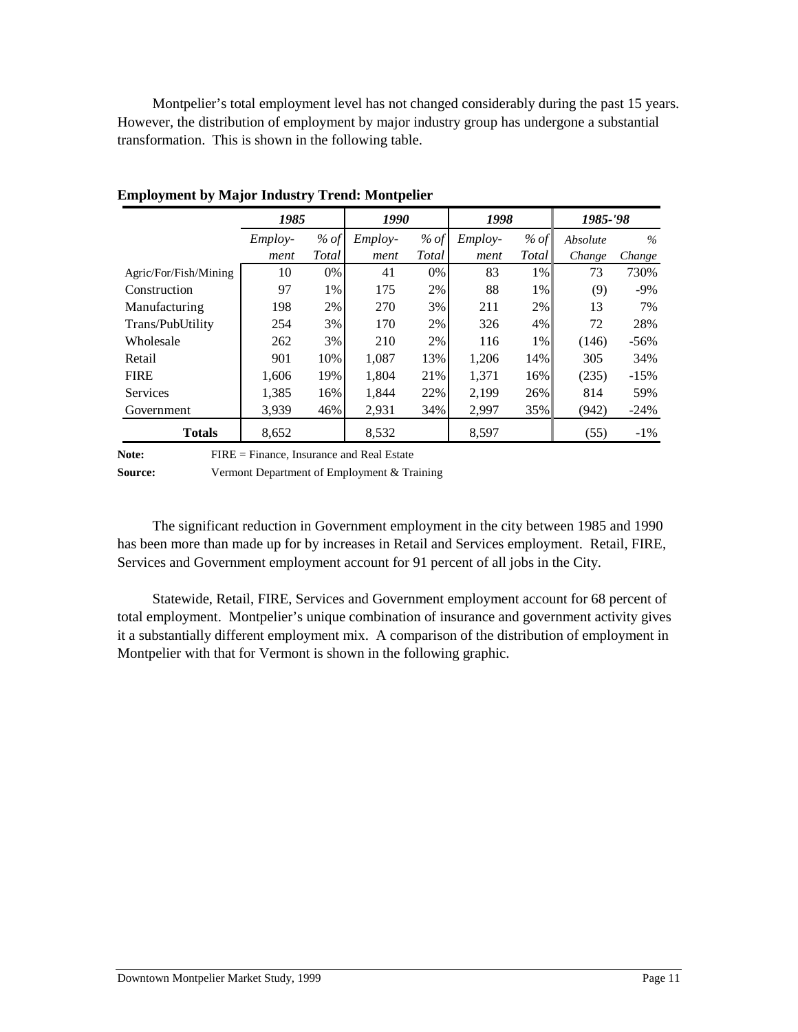Montpelier's total employment level has not changed considerably during the past 15 years. However, the distribution of employment by major industry group has undergone a substantial transformation. This is shown in the following table.

|                       | 1985    |              | 1990           |       | 1998           |        |          |        | 1985-'98 |  |
|-----------------------|---------|--------------|----------------|-------|----------------|--------|----------|--------|----------|--|
|                       | Employ- | % of         | <i>Employ-</i> | % of  | <i>Employ-</i> | $%$ of | Absolute | $\%$   |          |  |
|                       | ment    | <i>Total</i> | ment           | Total | ment           | Total  | Change   | Change |          |  |
| Agric/For/Fish/Mining | 10      | $0\%$        | 41             | 0%    | 83             | $1\%$  | 73       | 730%   |          |  |
| Construction          | 97      | $1\%$        | 175            | 2%    | 88             | $1\%$  | (9)      | $-9\%$ |          |  |
| Manufacturing         | 198     | 2%           | 270            | 3%    | 211            | 2%     | 13       | 7%     |          |  |
| Trans/PubUtility      | 254     | $3\%$        | 170            | 2%    | 326            | 4%     | 72       | 28%    |          |  |
| Wholesale             | 262     | $3\%$        | 210            | 2%    | 116            | $1\%$  | (146)    | $-56%$ |          |  |
| Retail                | 901     | 10%          | 1.087          | 13%   | 1,206          | 14%    | 305      | 34%    |          |  |
| <b>FIRE</b>           | 1,606   | 19%          | 1,804          | 21%   | 1,371          | 16%    | (235)    | $-15%$ |          |  |
| <b>Services</b>       | 1,385   | 16%          | 1,844          | 22%   | 2,199          | 26%    | 814      | 59%    |          |  |
| Government            | 3,939   | 46%          | 2,931          | 34%   | 2,997          | 35%    | (942)    | $-24%$ |          |  |
| <b>Totals</b>         | 8,652   |              | 8,532          |       | 8,597          |        | (55)     | $-1\%$ |          |  |

**Employment by Major Industry Trend: Montpelier**

Note: FIRE = Finance, Insurance and Real Estate

**Source:** Vermont Department of Employment & Training

The significant reduction in Government employment in the city between 1985 and 1990 has been more than made up for by increases in Retail and Services employment. Retail, FIRE, Services and Government employment account for 91 percent of all jobs in the City.

Statewide, Retail, FIRE, Services and Government employment account for 68 percent of total employment. Montpelier's unique combination of insurance and government activity gives it a substantially different employment mix. A comparison of the distribution of employment in Montpelier with that for Vermont is shown in the following graphic.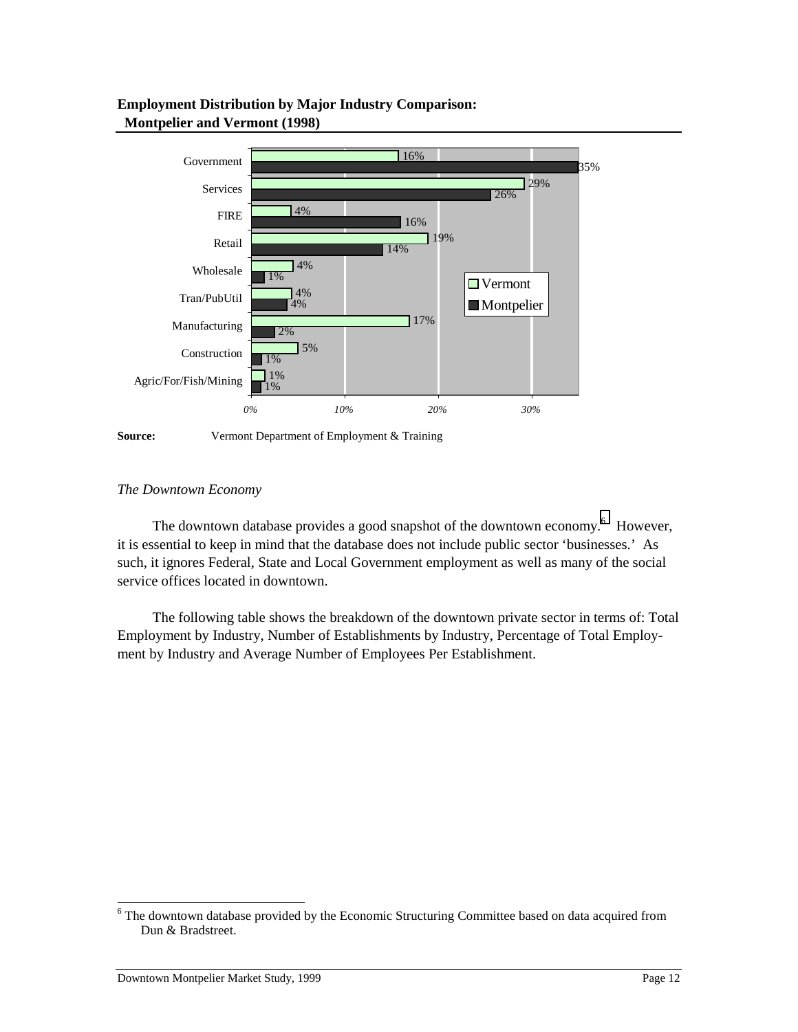#### **Employment Distribution by Major Industry Comparison: Montpelier and Vermont (1998)**



**Source:** Vermont Department of Employment & Training

#### *The Downtown Economy*

The downtown database provides a good snapshot of the downtown economy.<sup>6</sup> However, it is essential to keep in mind that the database does not include public sector 'businesses.' As such, it ignores Federal, State and Local Government employment as well as many of the social service offices located in downtown.

The following table shows the breakdown of the downtown private sector in terms of: Total Employment by Industry, Number of Establishments by Industry, Percentage of Total Employment by Industry and Average Number of Employees Per Establishment.

<sup>&</sup>lt;sup>6</sup><br><sup>6</sup> The downtown database provided by the Economic Structuring Committee based on data acquired from Dun & Bradstreet.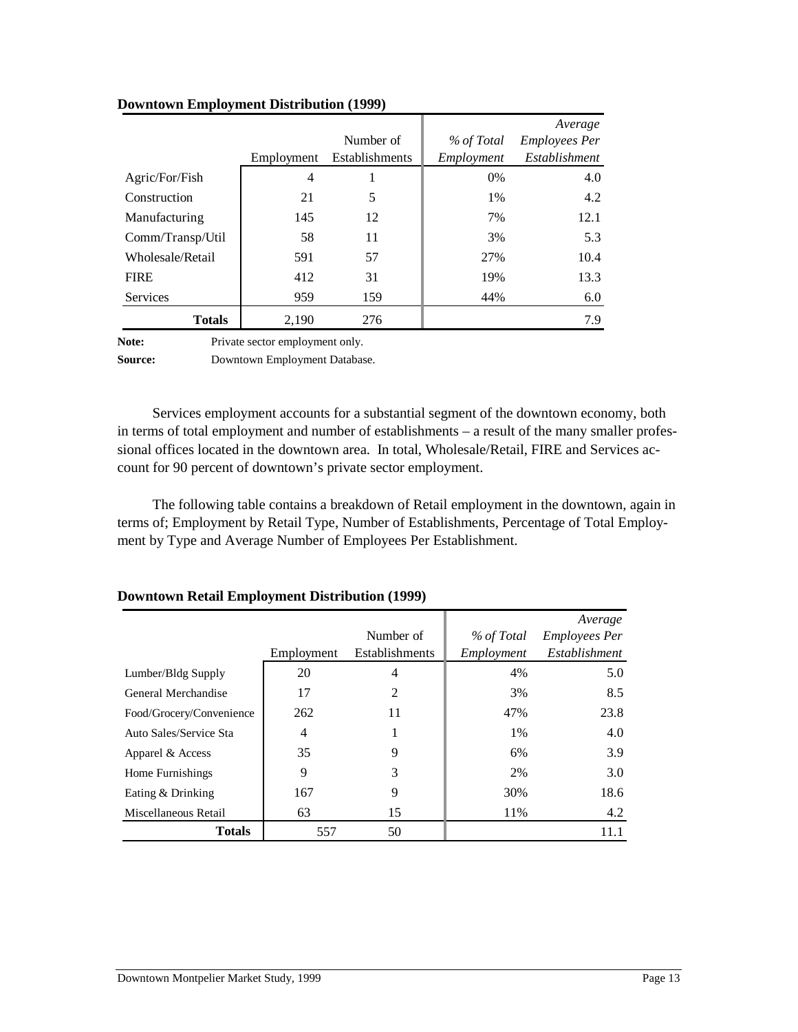|                  |            |                |            | Average              |
|------------------|------------|----------------|------------|----------------------|
|                  |            | Number of      | % of Total | <b>Employees Per</b> |
|                  | Employment | Establishments | Employment | Establishment        |
| Agric/For/Fish   | 4          |                | $0\%$      | 4.0                  |
| Construction     | 21         | 5              | 1%         | 4.2                  |
| Manufacturing    | 145        | 12             | 7%         | 12.1                 |
| Comm/Transp/Util | 58         | 11             | 3%         | 5.3                  |
| Wholesale/Retail | 591        | 57             | 27%        | 10.4                 |
| <b>FIRE</b>      | 412        | 31             | 19%        | 13.3                 |
| Services         | 959        | 159            | 44%        | 6.0                  |
| <b>Totals</b>    | 2,190      | 276            |            | 7.9                  |
|                  |            |                |            |                      |

#### **Downtown Employment Distribution (1999)**

Note: Private sector employment only.

**Source:** Downtown Employment Database.

Services employment accounts for a substantial segment of the downtown economy, both in terms of total employment and number of establishments – a result of the many smaller professional offices located in the downtown area. In total, Wholesale/Retail, FIRE and Services account for 90 percent of downtown's private sector employment.

The following table contains a breakdown of Retail employment in the downtown, again in terms of; Employment by Retail Type, Number of Establishments, Percentage of Total Employment by Type and Average Number of Employees Per Establishment.

|                          |            | Number of      | % of Total | Average<br><b>Employees Per</b> |
|--------------------------|------------|----------------|------------|---------------------------------|
|                          | Employment | Establishments | Employment | Establishment                   |
| Lumber/Bldg Supply       | 20         | $\overline{4}$ | 4%         | 5.0                             |
| General Merchandise      | 17         | 2              | 3%         | 8.5                             |
| Food/Grocery/Convenience | 262        | 11             | 47%        | 23.8                            |
| Auto Sales/Service Sta   | 4          | 1              | $1\%$      | 4.0                             |
| Apparel & Access         | 35         | 9              | 6%         | 3.9                             |
| Home Furnishings         | 9          | 3              | 2%         | 3.0                             |
| Eating & Drinking        | 167        | 9              | 30%        | 18.6                            |
| Miscellaneous Retail     | 63         | 15             | 11%        | 4.2                             |
| Totals                   | 557        | 50             |            | 11.1                            |

#### **Downtown Retail Employment Distribution (1999)**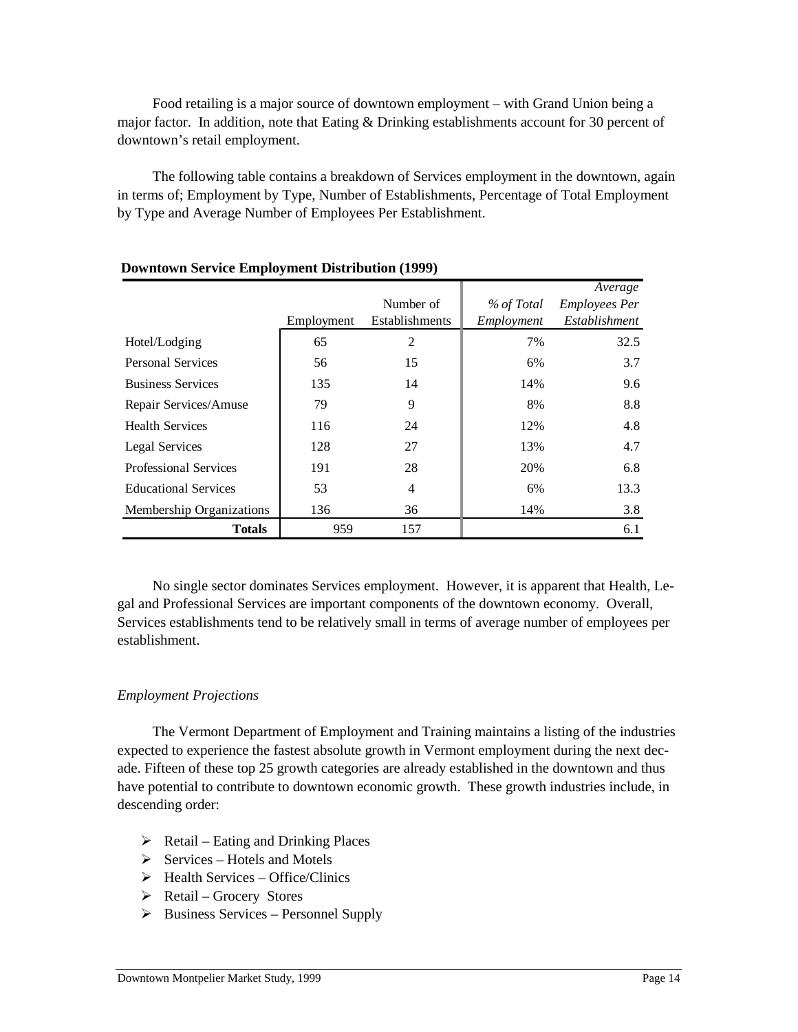Food retailing is a major source of downtown employment – with Grand Union being a major factor. In addition, note that Eating & Drinking establishments account for 30 percent of downtown's retail employment.

The following table contains a breakdown of Services employment in the downtown, again in terms of; Employment by Type, Number of Establishments, Percentage of Total Employment by Type and Average Number of Employees Per Establishment.

|                              | Employment | Number of<br>Establishments | % of Total<br>Employment | Average<br><b>Employees Per</b><br>Establishment |
|------------------------------|------------|-----------------------------|--------------------------|--------------------------------------------------|
| Hotel/Lodging                | 65         | 2                           | 7%                       | 32.5                                             |
| <b>Personal Services</b>     | 56         | 15                          | 6%                       | 3.7                                              |
| <b>Business Services</b>     | 135        | 14                          | 14%                      | 9.6                                              |
| Repair Services/Amuse        | 79         | 9                           | 8%                       | 8.8                                              |
| <b>Health Services</b>       | 116        | 24                          | 12%                      | 4.8                                              |
| Legal Services               | 128        | 27                          | 13%                      | 4.7                                              |
| <b>Professional Services</b> | 191        | 28                          | 20%                      | 6.8                                              |
| <b>Educational Services</b>  | 53         | 4                           | 6%                       | 13.3                                             |
| Membership Organizations     | 136        | 36                          | 14%                      | 3.8                                              |
| <b>Totals</b>                | 959        | 157                         |                          | 6.1                                              |

#### **Downtown Service Employment Distribution (1999)**

No single sector dominates Services employment. However, it is apparent that Health, Legal and Professional Services are important components of the downtown economy. Overall, Services establishments tend to be relatively small in terms of average number of employees per establishment.

#### *Employment Projections*

The Vermont Department of Employment and Training maintains a listing of the industries expected to experience the fastest absolute growth in Vermont employment during the next decade. Fifteen of these top 25 growth categories are already established in the downtown and thus have potential to contribute to downtown economic growth. These growth industries include, in descending order:

- $\triangleright$  Retail Eating and Drinking Places
- $\triangleright$  Services Hotels and Motels
- $\triangleright$  Health Services Office/Clinics
- $\triangleright$  Retail Grocery Stores
- $\triangleright$  Business Services Personnel Supply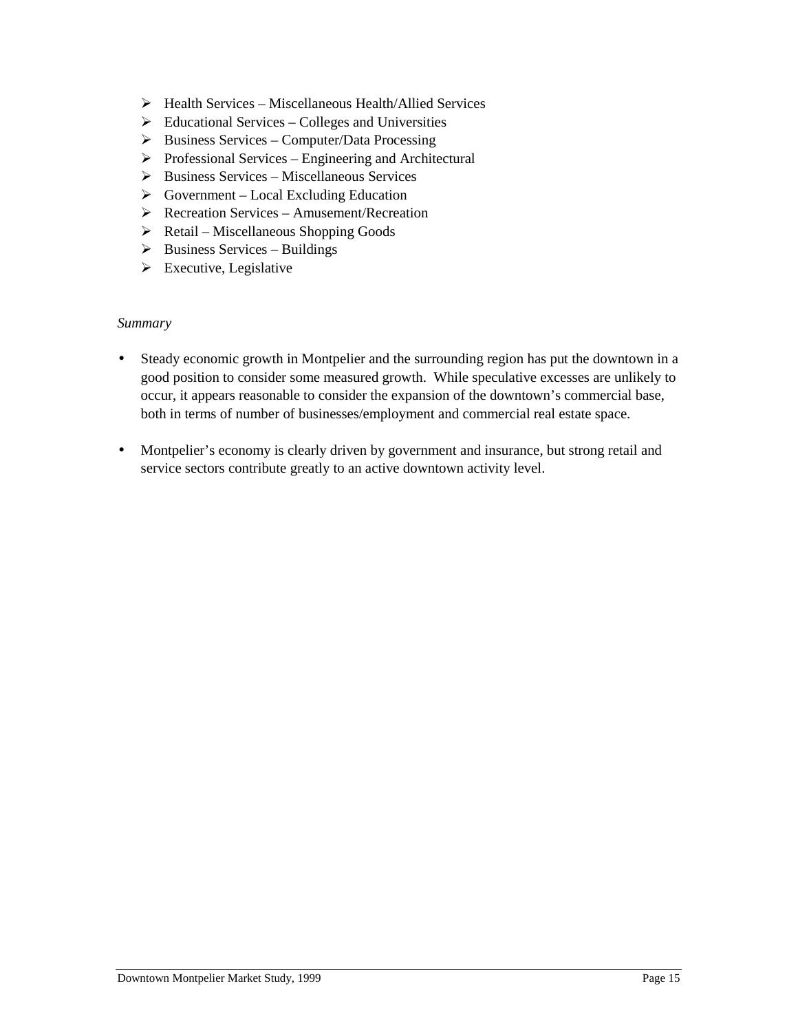- $\triangleright$  Health Services Miscellaneous Health/Allied Services
- $\triangleright$  Educational Services Colleges and Universities
- $\triangleright$  Business Services Computer/Data Processing
- $\triangleright$  Professional Services Engineering and Architectural
- $\triangleright$  Business Services Miscellaneous Services
- $\triangleright$  Government Local Excluding Education
- ! Recreation Services Amusement/Recreation
- $\triangleright$  Retail Miscellaneous Shopping Goods
- $\triangleright$  Business Services Buildings
- $\triangleright$  Executive, Legislative

#### *Summary*

- Steady economic growth in Montpelier and the surrounding region has put the downtown in a good position to consider some measured growth. While speculative excesses are unlikely to occur, it appears reasonable to consider the expansion of the downtown's commercial base, both in terms of number of businesses/employment and commercial real estate space.
- Montpelier's economy is clearly driven by government and insurance, but strong retail and service sectors contribute greatly to an active downtown activity level.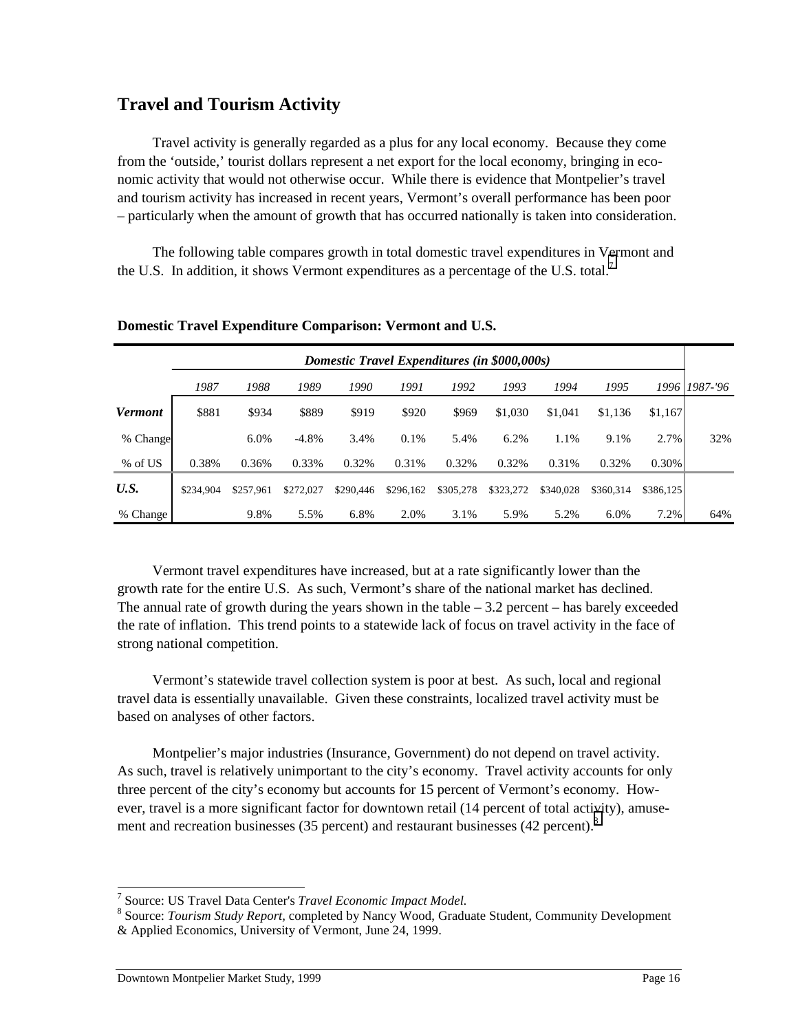## **Travel and Tourism Activity**

Travel activity is generally regarded as a plus for any local economy. Because they come from the 'outside,' tourist dollars represent a net export for the local economy, bringing in economic activity that would not otherwise occur. While there is evidence that Montpelier's travel and tourism activity has increased in recent years, Vermont's overall performance has been poor – particularly when the amount of growth that has occurred nationally is taken into consideration.

The following table compares growth in total domestic travel expenditures in Vermont and the U.S. In addition, it shows Vermont expenditures as a percentage of the U.S. total.<sup>7</sup>

|                |           | Domestic Travel Expenditures (in \$000,000s) |           |           |           |           |           |           |           |           |               |
|----------------|-----------|----------------------------------------------|-----------|-----------|-----------|-----------|-----------|-----------|-----------|-----------|---------------|
|                | 1987      | 1988                                         | 1989      | 1990      | 1991      | 1992      | 1993      | 1994      | 1995      |           | 1996 1987-'96 |
| <b>Vermont</b> | \$881     | \$934                                        | \$889     | \$919     | \$920     | \$969     | \$1,030   | \$1,041   | \$1,136   | \$1,167   |               |
| % Change       |           | 6.0%                                         | $-4.8%$   | 3.4%      | 0.1%      | 5.4%      | 6.2%      | 1.1%      | 9.1%      | $2.7\%$   | 32%           |
| % of US        | 0.38%     | 0.36%                                        | 0.33%     | 0.32%     | 0.31%     | 0.32%     | 0.32%     | 0.31%     | 0.32%     | $0.30\%$  |               |
| U.S.           | \$234,904 | \$257.961                                    | \$272,027 | \$290,446 | \$296.162 | \$305,278 | \$323,272 | \$340,028 | \$360.314 | \$386.125 |               |
| % Change       |           | 9.8%                                         | 5.5%      | 6.8%      | 2.0%      | 3.1%      | 5.9%      | 5.2%      | 6.0%      | 7.2%      | 64%           |

**Domestic Travel Expenditure Comparison: Vermont and U.S.**

Vermont travel expenditures have increased, but at a rate significantly lower than the growth rate for the entire U.S. As such, Vermont's share of the national market has declined. The annual rate of growth during the years shown in the table – 3.2 percent – has barely exceeded the rate of inflation. This trend points to a statewide lack of focus on travel activity in the face of strong national competition.

Vermont's statewide travel collection system is poor at best. As such, local and regional travel data is essentially unavailable. Given these constraints, localized travel activity must be based on analyses of other factors.

Montpelier's major industries (Insurance, Government) do not depend on travel activity. As such, travel is relatively unimportant to the city's economy. Travel activity accounts for only three percent of the city's economy but accounts for 15 percent of Vermont's economy. However, travel is a more significant factor for downtown retail (14 percent of total activity), amusement and recreation businesses (35 percent) and restaurant businesses (42 percent).<sup>8</sup>

 7 Source: US Travel Data Center's *Travel Economic Impact Model.* <sup>8</sup>

Source: *Tourism Study Report,* completed by Nancy Wood, Graduate Student, Community Development & Applied Economics, University of Vermont, June 24, 1999.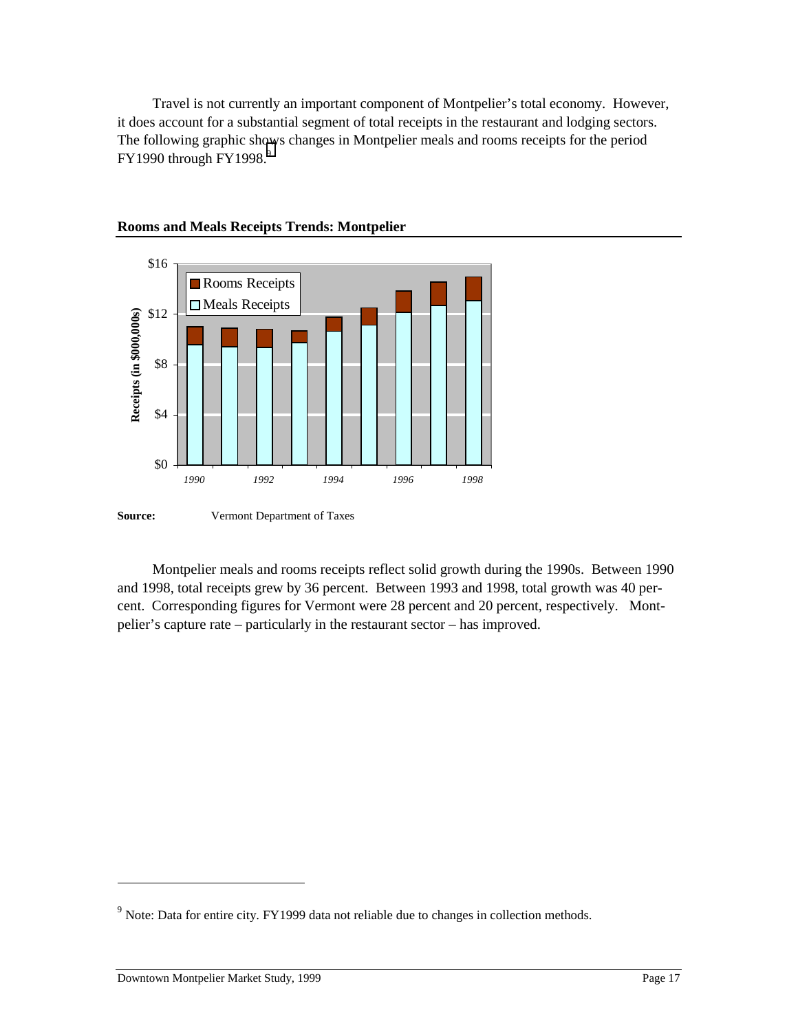Travel is not currently an important component of Montpelier's total economy. However, it does account for a substantial segment of total receipts in the restaurant and lodging sectors. The following graphic shows changes in Montpelier meals and rooms receipts for the period  $FY1990$  through  $FY1998.<sup>9</sup>$ 



#### **Rooms and Meals Receipts Trends: Montpelier**

Montpelier meals and rooms receipts reflect solid growth during the 1990s. Between 1990 and 1998, total receipts grew by 36 percent. Between 1993 and 1998, total growth was 40 percent. Corresponding figures for Vermont were 28 percent and 20 percent, respectively. Montpelier's capture rate – particularly in the restaurant sector – has improved.

 $\overline{a}$ 

<sup>&</sup>lt;sup>9</sup> Note: Data for entire city. FY1999 data not reliable due to changes in collection methods.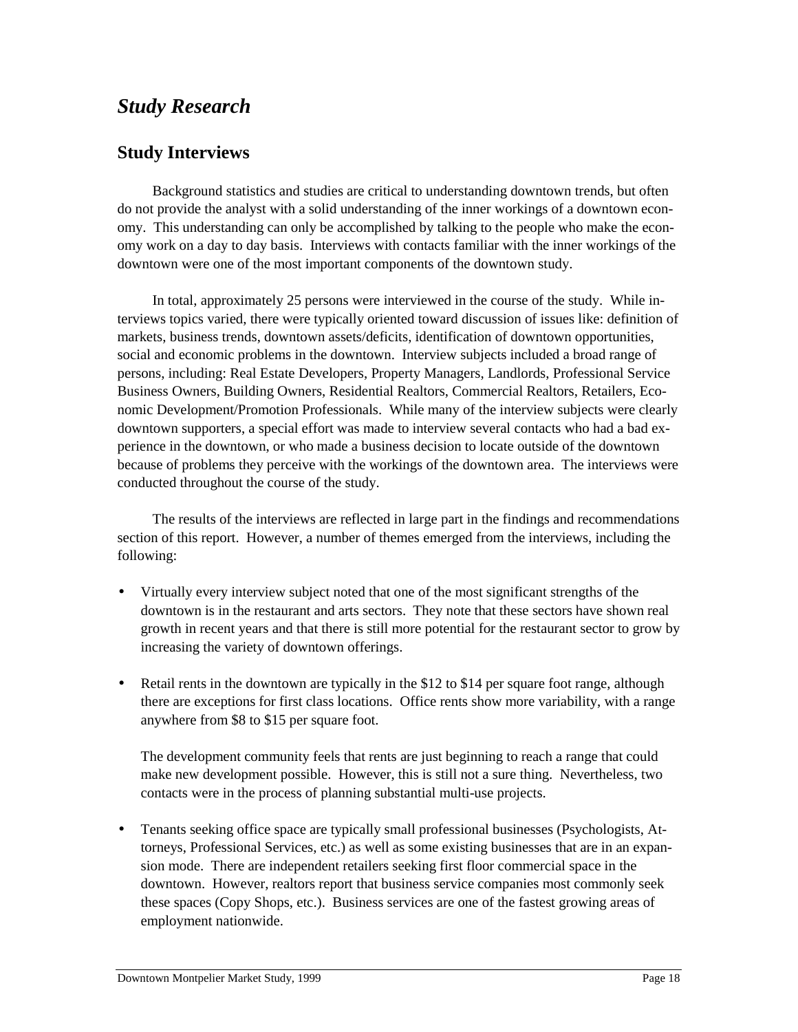## *Study Research*

## **Study Interviews**

Background statistics and studies are critical to understanding downtown trends, but often do not provide the analyst with a solid understanding of the inner workings of a downtown economy. This understanding can only be accomplished by talking to the people who make the economy work on a day to day basis. Interviews with contacts familiar with the inner workings of the downtown were one of the most important components of the downtown study.

In total, approximately 25 persons were interviewed in the course of the study. While interviews topics varied, there were typically oriented toward discussion of issues like: definition of markets, business trends, downtown assets/deficits, identification of downtown opportunities, social and economic problems in the downtown. Interview subjects included a broad range of persons, including: Real Estate Developers, Property Managers, Landlords, Professional Service Business Owners, Building Owners, Residential Realtors, Commercial Realtors, Retailers, Economic Development/Promotion Professionals. While many of the interview subjects were clearly downtown supporters, a special effort was made to interview several contacts who had a bad experience in the downtown, or who made a business decision to locate outside of the downtown because of problems they perceive with the workings of the downtown area. The interviews were conducted throughout the course of the study.

The results of the interviews are reflected in large part in the findings and recommendations section of this report. However, a number of themes emerged from the interviews, including the following:

- Virtually every interview subject noted that one of the most significant strengths of the downtown is in the restaurant and arts sectors. They note that these sectors have shown real growth in recent years and that there is still more potential for the restaurant sector to grow by increasing the variety of downtown offerings.
- Retail rents in the downtown are typically in the \$12 to \$14 per square foot range, although there are exceptions for first class locations. Office rents show more variability, with a range anywhere from \$8 to \$15 per square foot.

The development community feels that rents are just beginning to reach a range that could make new development possible. However, this is still not a sure thing. Nevertheless, two contacts were in the process of planning substantial multi-use projects.

• Tenants seeking office space are typically small professional businesses (Psychologists, Attorneys, Professional Services, etc.) as well as some existing businesses that are in an expansion mode. There are independent retailers seeking first floor commercial space in the downtown. However, realtors report that business service companies most commonly seek these spaces (Copy Shops, etc.). Business services are one of the fastest growing areas of employment nationwide.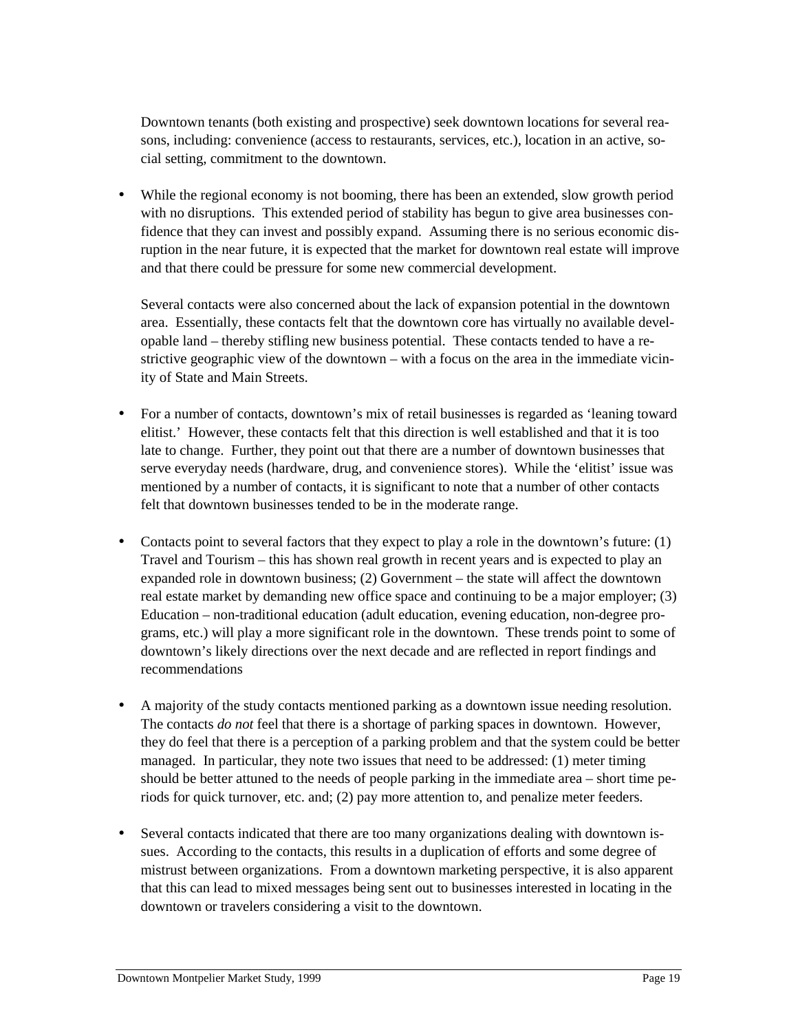Downtown tenants (both existing and prospective) seek downtown locations for several reasons, including: convenience (access to restaurants, services, etc.), location in an active, social setting, commitment to the downtown.

• While the regional economy is not booming, there has been an extended, slow growth period with no disruptions. This extended period of stability has begun to give area businesses confidence that they can invest and possibly expand. Assuming there is no serious economic disruption in the near future, it is expected that the market for downtown real estate will improve and that there could be pressure for some new commercial development.

Several contacts were also concerned about the lack of expansion potential in the downtown area. Essentially, these contacts felt that the downtown core has virtually no available developable land – thereby stifling new business potential. These contacts tended to have a restrictive geographic view of the downtown – with a focus on the area in the immediate vicinity of State and Main Streets.

- For a number of contacts, downtown's mix of retail businesses is regarded as 'leaning toward elitist.' However, these contacts felt that this direction is well established and that it is too late to change. Further, they point out that there are a number of downtown businesses that serve everyday needs (hardware, drug, and convenience stores). While the 'elitist' issue was mentioned by a number of contacts, it is significant to note that a number of other contacts felt that downtown businesses tended to be in the moderate range.
- Contacts point to several factors that they expect to play a role in the downtown's future:  $(1)$ Travel and Tourism – this has shown real growth in recent years and is expected to play an expanded role in downtown business; (2) Government – the state will affect the downtown real estate market by demanding new office space and continuing to be a major employer; (3) Education – non-traditional education (adult education, evening education, non-degree programs, etc.) will play a more significant role in the downtown. These trends point to some of downtown's likely directions over the next decade and are reflected in report findings and recommendations
- A majority of the study contacts mentioned parking as a downtown issue needing resolution. The contacts *do not* feel that there is a shortage of parking spaces in downtown. However, they do feel that there is a perception of a parking problem and that the system could be better managed. In particular, they note two issues that need to be addressed: (1) meter timing should be better attuned to the needs of people parking in the immediate area – short time periods for quick turnover, etc. and; (2) pay more attention to, and penalize meter feeders.
- Several contacts indicated that there are too many organizations dealing with downtown issues. According to the contacts, this results in a duplication of efforts and some degree of mistrust between organizations. From a downtown marketing perspective, it is also apparent that this can lead to mixed messages being sent out to businesses interested in locating in the downtown or travelers considering a visit to the downtown.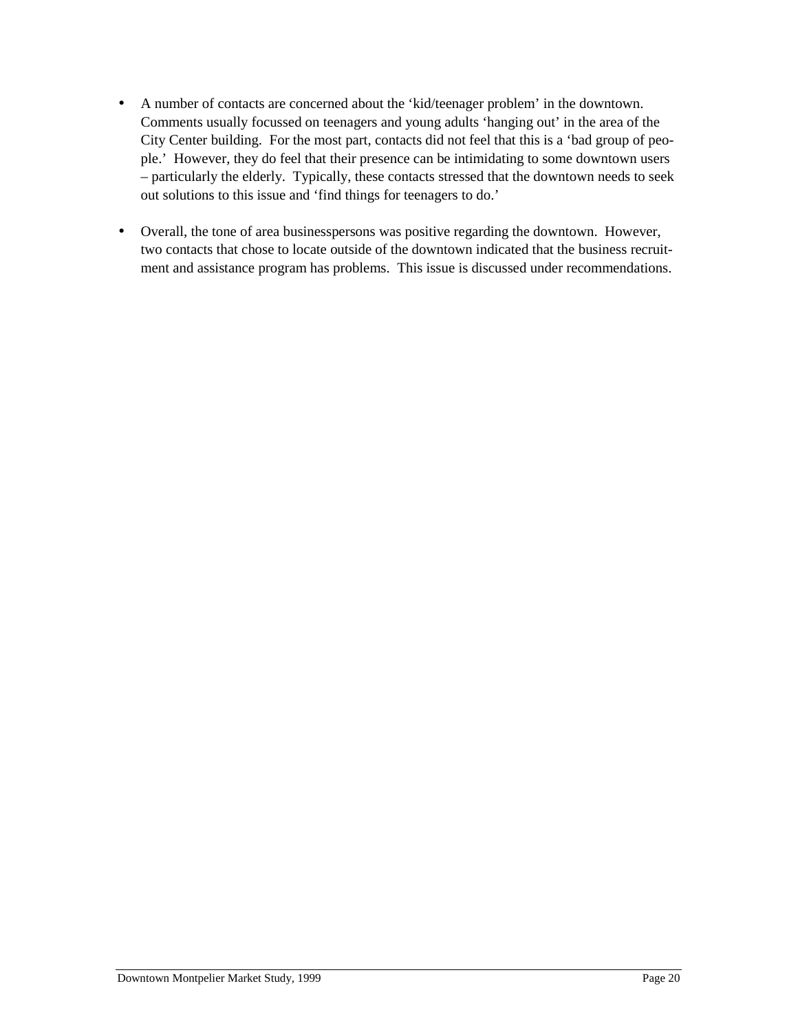- A number of contacts are concerned about the 'kid/teenager problem' in the downtown. Comments usually focussed on teenagers and young adults 'hanging out' in the area of the City Center building. For the most part, contacts did not feel that this is a 'bad group of people.' However, they do feel that their presence can be intimidating to some downtown users – particularly the elderly. Typically, these contacts stressed that the downtown needs to seek out solutions to this issue and 'find things for teenagers to do.'
- Overall, the tone of area businesspersons was positive regarding the downtown. However, two contacts that chose to locate outside of the downtown indicated that the business recruitment and assistance program has problems. This issue is discussed under recommendations.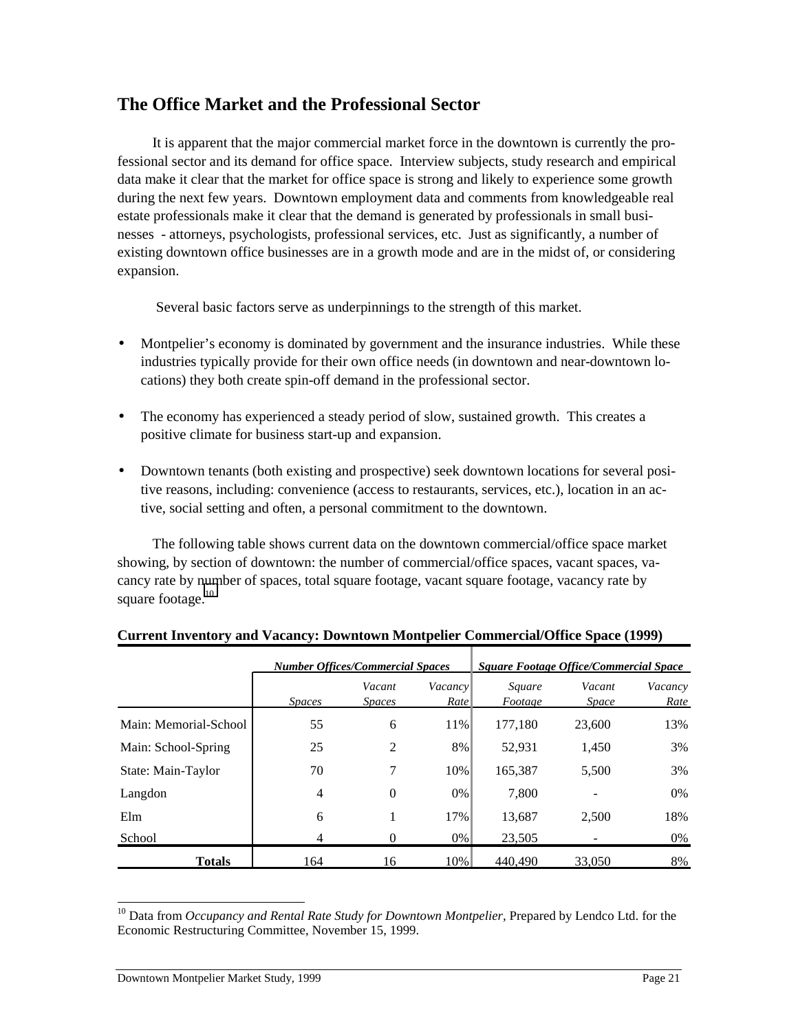## **The Office Market and the Professional Sector**

It is apparent that the major commercial market force in the downtown is currently the professional sector and its demand for office space. Interview subjects, study research and empirical data make it clear that the market for office space is strong and likely to experience some growth during the next few years. Downtown employment data and comments from knowledgeable real estate professionals make it clear that the demand is generated by professionals in small businesses - attorneys, psychologists, professional services, etc. Just as significantly, a number of existing downtown office businesses are in a growth mode and are in the midst of, or considering expansion.

Several basic factors serve as underpinnings to the strength of this market.

- Montpelier's economy is dominated by government and the insurance industries. While these industries typically provide for their own office needs (in downtown and near-downtown locations) they both create spin-off demand in the professional sector.
- The economy has experienced a steady period of slow, sustained growth. This creates a positive climate for business start-up and expansion.
- Downtown tenants (both existing and prospective) seek downtown locations for several positive reasons, including: convenience (access to restaurants, services, etc.), location in an active, social setting and often, a personal commitment to the downtown.

The following table shows current data on the downtown commercial/office space market showing, by section of downtown: the number of commercial/office spaces, vacant spaces, vacancy rate by number of spaces, total square footage, vacant square footage, vacancy rate by square footage. $10$ 

|                       |               | <b>Number Offices/Commercial Spaces</b> |                 | <b>Square Footage Office/Commercial Space</b> |                        |                 |  |
|-----------------------|---------------|-----------------------------------------|-----------------|-----------------------------------------------|------------------------|-----------------|--|
|                       | <b>Spaces</b> | Vacant<br><i>Spaces</i>                 | Vacancy<br>Rate | Square<br>Footage                             | Vacant<br><i>Space</i> | Vacancy<br>Rate |  |
| Main: Memorial-School | 55            | 6                                       | 11%             | 177,180                                       | 23,600                 | 13%             |  |
| Main: School-Spring   | 25            | 2                                       | 8%              | 52,931                                        | 1,450                  | 3%              |  |
| State: Main-Taylor    | 70            | 7                                       | 10%             | 165,387                                       | 5,500                  | 3%              |  |
| Langdon               | 4             | $\Omega$                                | 0%              | 7,800                                         |                        | 0%              |  |
| Elm                   | 6             | 1                                       | 17%             | 13,687                                        | 2,500                  | 18%             |  |
| School                | 4             | $\Omega$                                | $0\%$           | 23,505                                        |                        | $0\%$           |  |
| Totals                | 164           | 16                                      | 10%             | 440.490                                       | 33,050                 | 8%              |  |

#### **Current Inventory and Vacancy: Downtown Montpelier Commercial/Office Space (1999)**

10 Data from *Occupancy and Rental Rate Study for Downtown Montpelier,* Prepared by Lendco Ltd. for the Economic Restructuring Committee, November 15, 1999.

 $\overline{a}$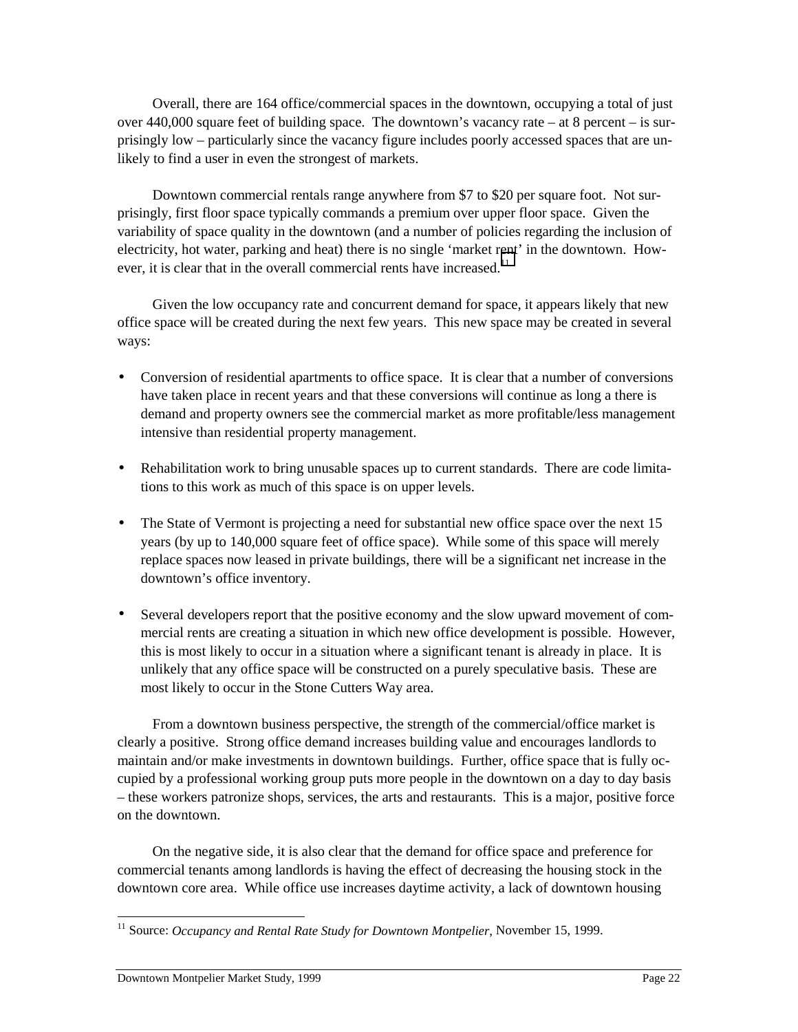Overall, there are 164 office/commercial spaces in the downtown, occupying a total of just over  $440,000$  square feet of building space. The downtown's vacancy rate – at 8 percent – is surprisingly low – particularly since the vacancy figure includes poorly accessed spaces that are unlikely to find a user in even the strongest of markets.

Downtown commercial rentals range anywhere from \$7 to \$20 per square foot. Not surprisingly, first floor space typically commands a premium over upper floor space. Given the variability of space quality in the downtown (and a number of policies regarding the inclusion of electricity, hot water, parking and heat) there is no single 'market rent' in the downtown. However, it is clear that in the overall commercial rents have increased.<sup>11</sup>

Given the low occupancy rate and concurrent demand for space, it appears likely that new office space will be created during the next few years. This new space may be created in several ways:

- Conversion of residential apartments to office space. It is clear that a number of conversions have taken place in recent years and that these conversions will continue as long a there is demand and property owners see the commercial market as more profitable/less management intensive than residential property management.
- Rehabilitation work to bring unusable spaces up to current standards. There are code limitations to this work as much of this space is on upper levels.
- The State of Vermont is projecting a need for substantial new office space over the next 15 years (by up to 140,000 square feet of office space). While some of this space will merely replace spaces now leased in private buildings, there will be a significant net increase in the downtown's office inventory.
- Several developers report that the positive economy and the slow upward movement of commercial rents are creating a situation in which new office development is possible. However, this is most likely to occur in a situation where a significant tenant is already in place. It is unlikely that any office space will be constructed on a purely speculative basis. These are most likely to occur in the Stone Cutters Way area.

From a downtown business perspective, the strength of the commercial/office market is clearly a positive. Strong office demand increases building value and encourages landlords to maintain and/or make investments in downtown buildings. Further, office space that is fully occupied by a professional working group puts more people in the downtown on a day to day basis – these workers patronize shops, services, the arts and restaurants. This is a major, positive force on the downtown.

On the negative side, it is also clear that the demand for office space and preference for commercial tenants among landlords is having the effect of decreasing the housing stock in the downtown core area. While office use increases daytime activity, a lack of downtown housing

 $\overline{a}$ 

<sup>&</sup>lt;sup>11</sup> Source: Occupancy and Rental Rate Study for Downtown Montpelier, November 15, 1999.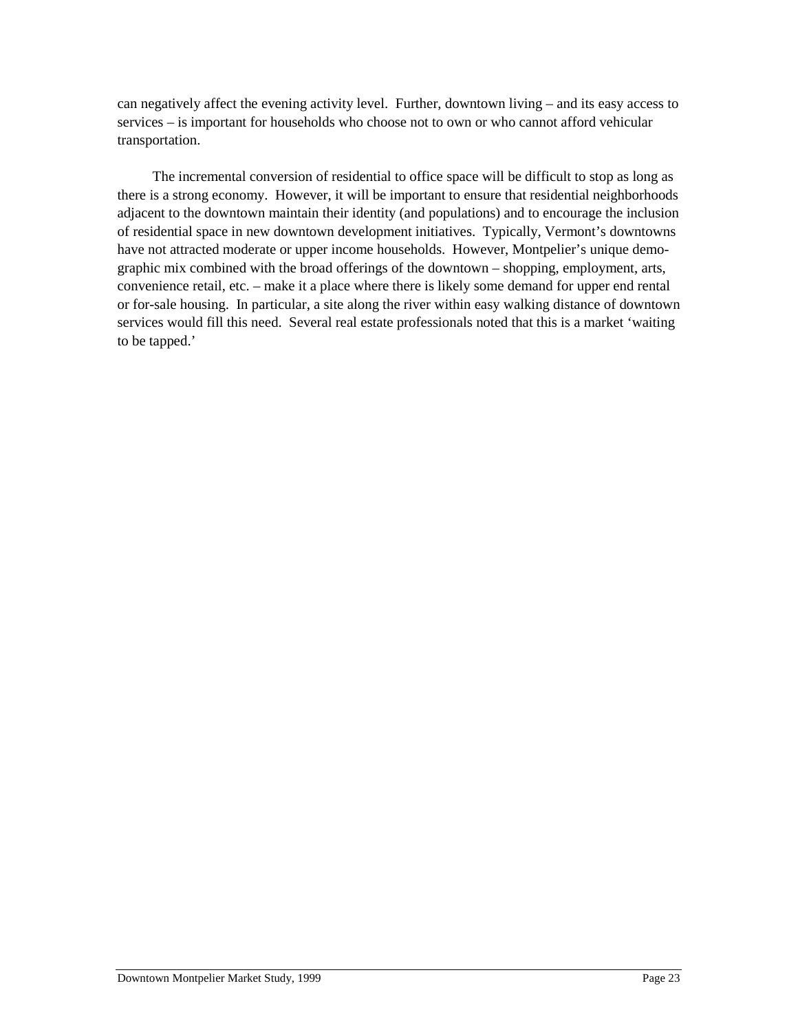can negatively affect the evening activity level. Further, downtown living – and its easy access to services – is important for households who choose not to own or who cannot afford vehicular transportation.

The incremental conversion of residential to office space will be difficult to stop as long as there is a strong economy. However, it will be important to ensure that residential neighborhoods adjacent to the downtown maintain their identity (and populations) and to encourage the inclusion of residential space in new downtown development initiatives. Typically, Vermont's downtowns have not attracted moderate or upper income households. However, Montpelier's unique demographic mix combined with the broad offerings of the downtown – shopping, employment, arts, convenience retail, etc. – make it a place where there is likely some demand for upper end rental or for-sale housing. In particular, a site along the river within easy walking distance of downtown services would fill this need. Several real estate professionals noted that this is a market 'waiting to be tapped.'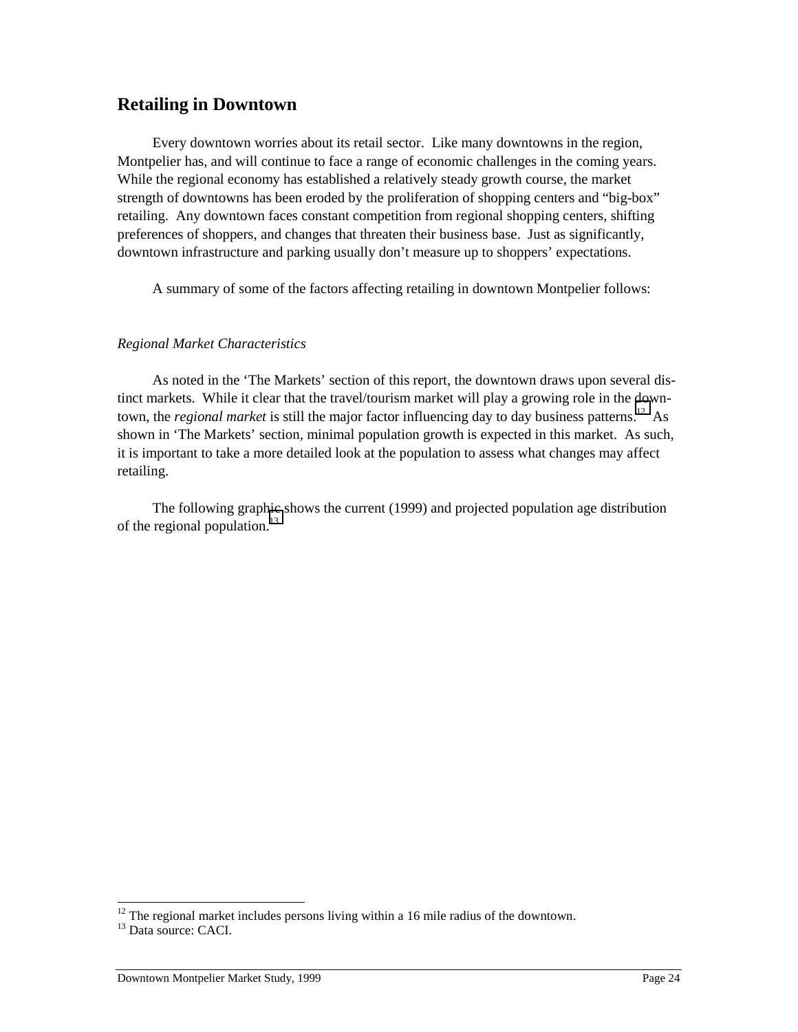## **Retailing in Downtown**

Every downtown worries about its retail sector. Like many downtowns in the region, Montpelier has, and will continue to face a range of economic challenges in the coming years. While the regional economy has established a relatively steady growth course, the market strength of downtowns has been eroded by the proliferation of shopping centers and "big-box" retailing. Any downtown faces constant competition from regional shopping centers, shifting preferences of shoppers, and changes that threaten their business base. Just as significantly, downtown infrastructure and parking usually don't measure up to shoppers' expectations.

A summary of some of the factors affecting retailing in downtown Montpelier follows:

#### *Regional Market Characteristics*

As noted in the 'The Markets' section of this report, the downtown draws upon several distinct markets. While it clear that the travel/tourism market will play a growing role in the downtown, the *regional market* is still the major factor influencing day to day business patterns.<sup>12</sup> As shown in 'The Markets' section, minimal population growth is expected in this market. As such, it is important to take a more detailed look at the population to assess what changes may affect retailing.

The following graphic shows the current (1999) and projected population age distribution of the regional population. $13$ 

 $\overline{a}$ 

 $12$ <sup>12</sup> The regional market includes persons living within a 16 mile radius of the downtown.

<sup>&</sup>lt;sup>13</sup> Data source: CACI.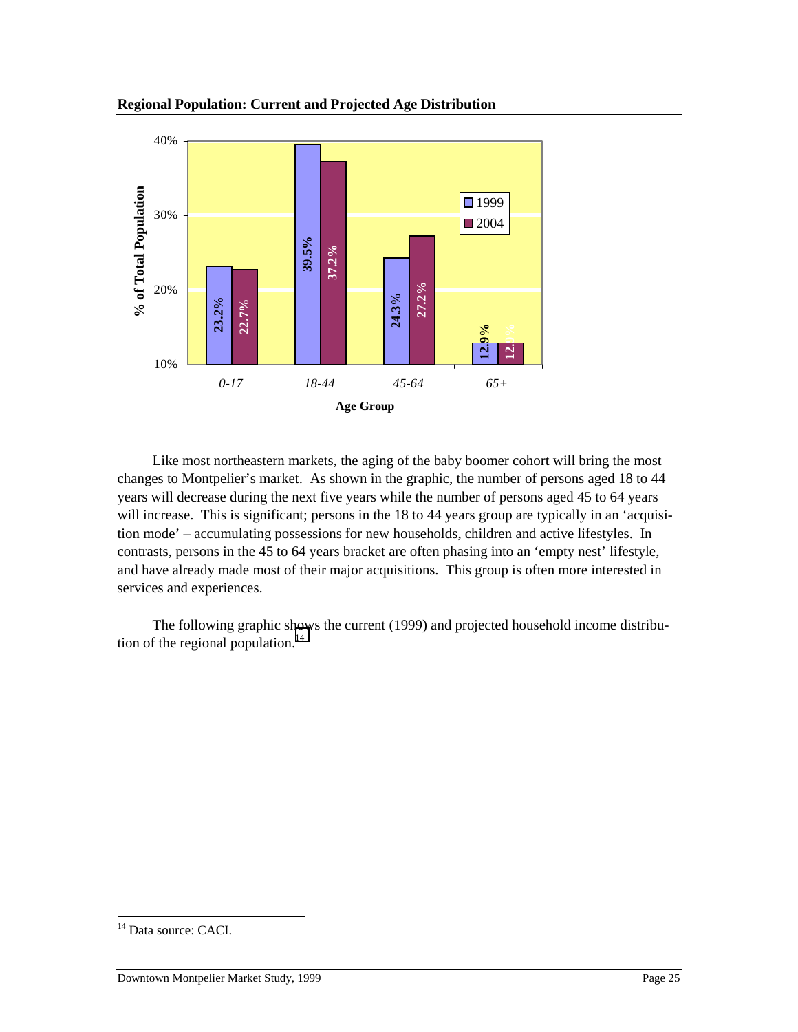



Like most northeastern markets, the aging of the baby boomer cohort will bring the most changes to Montpelier's market. As shown in the graphic, the number of persons aged 18 to 44 years will decrease during the next five years while the number of persons aged 45 to 64 years will increase. This is significant; persons in the 18 to 44 years group are typically in an 'acquisition mode' – accumulating possessions for new households, children and active lifestyles. In contrasts, persons in the 45 to 64 years bracket are often phasing into an 'empty nest' lifestyle, and have already made most of their major acquisitions. This group is often more interested in services and experiences. Solution<br>
10%<br>
10%<br>
Like most nor<br>
changes to Montpeli<br>
years will decrease<br>
will increase. This is<br>
tion mode' – accum<br>
contrasts, persons in<br>
and have already material<br>
The following<br>
tion of the regional is

The following graphic shows the current (1999) and projected household income distribution of the regional population. $^{14}$ 

<sup>&</sup>lt;sup>14</sup> Data source: CACI.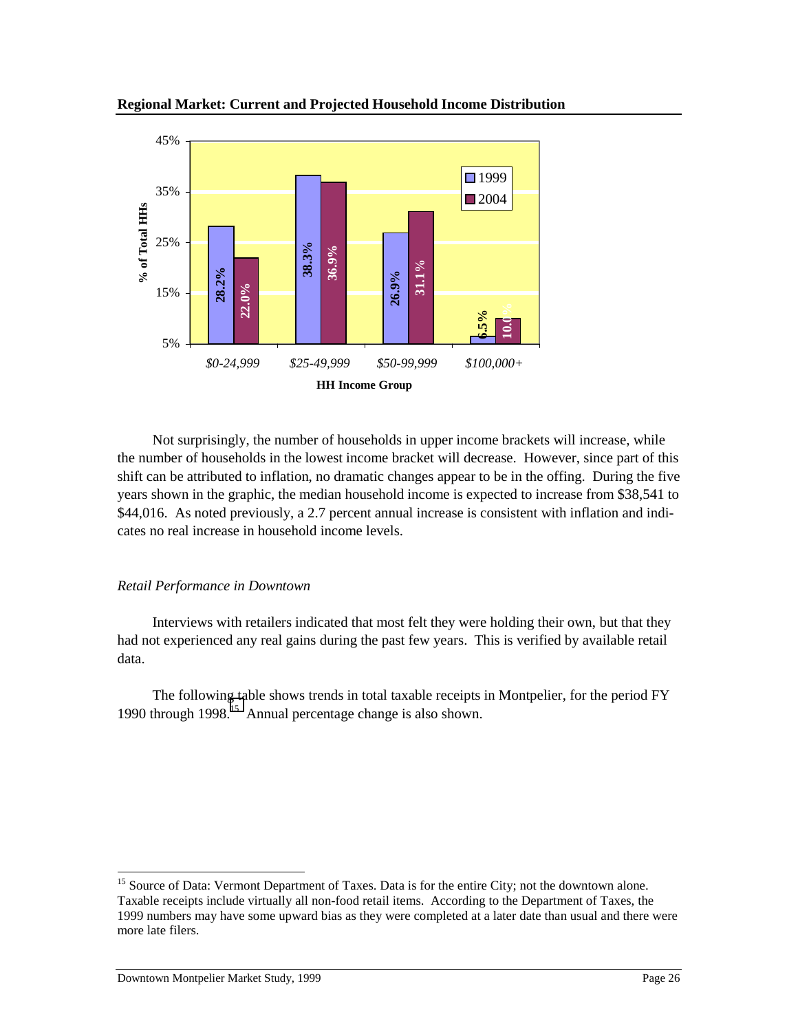

Not surprisingly, the number of households in upper income brackets will increase, while the number of households in the lowest income bracket will decrease. However, since part of this shift can be attributed to inflation, no dramatic changes appear to be in the offing. During the five years shown in the graphic, the median household income is expected to increase from \$38,541 to \$44,016. As noted previously, a 2.7 percent annual increase is consistent with inflation and indicates no real increase in household income levels.

#### *Retail Performance in Downtown*

Interviews with retailers indicated that most felt they were holding their own, but that they had not experienced any real gains during the past few years. This is verified by available retail data.

The following table shows trends in total taxable receipts in Montpelier, for the period FY 1990 through  $1998$ <sup>15</sup> Annual percentage change is also shown.

l

<sup>&</sup>lt;sup>15</sup> Source of Data: Vermont Department of Taxes. Data is for the entire City; not the downtown alone. Taxable receipts include virtually all non-food retail items. According to the Department of Taxes, the 1999 numbers may have some upward bias as they were completed at a later date than usual and there were more late filers.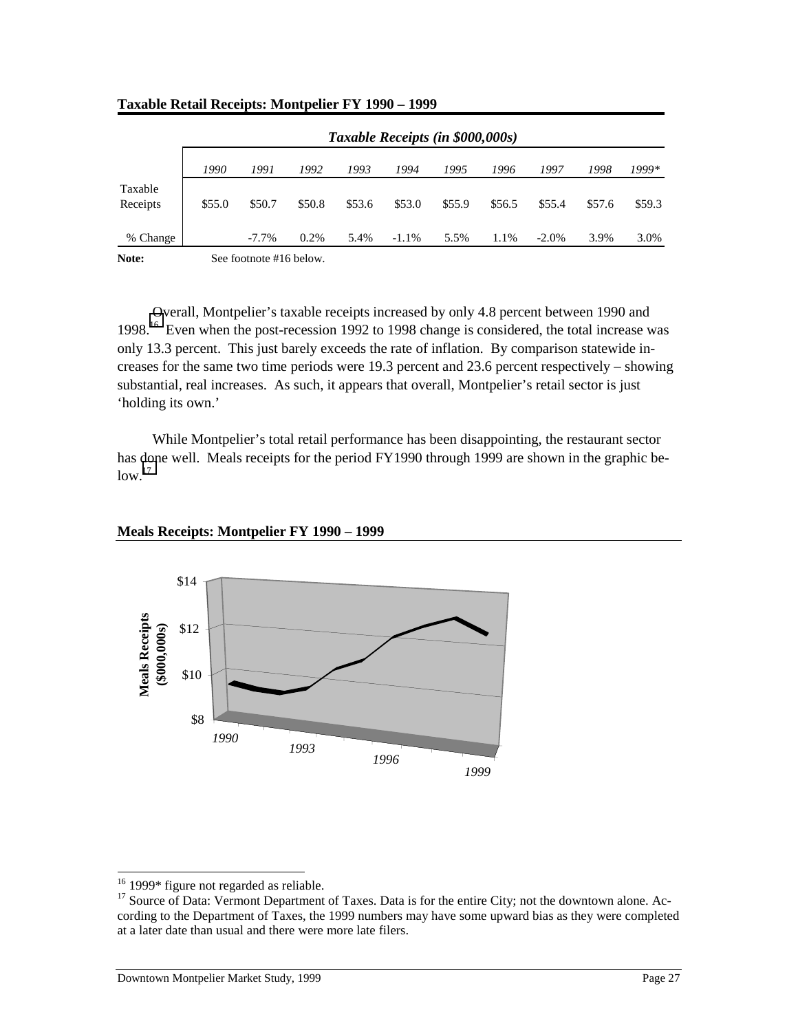|                     | Taxable Receipts (in \$000,000s) |          |        |        |          |        |        |          |        |        |
|---------------------|----------------------------------|----------|--------|--------|----------|--------|--------|----------|--------|--------|
|                     | 1990                             | 1991     | 1992   | 1993   | 1994     | 1995   | 1996   | 1997     | 1998   | 1999*  |
| Taxable<br>Receipts | \$55.0                           | \$50.7   | \$50.8 | \$53.6 | \$53.0   | \$55.9 | \$56.5 | \$55.4   | \$57.6 | \$59.3 |
| % Change            |                                  | $-7.7\%$ | 0.2%   | 5.4%   | $-1.1\%$ | 5.5%   | 1.1%   | $-2.0\%$ | 3.9%   | 3.0%   |
| $\mathbf{r}$        |                                  | 0 0 1 1  |        |        |          |        |        |          |        |        |

#### **Taxable Retail Receipts: Montpelier FY 1990 – 1999**

**Note:** See footnote #16 below.

Overall, Montpelier's taxable receipts increased by only 4.8 percent between 1990 and 1998.<sup>16</sup> Even when the post-recession 1992 to 1998 change is considered, the total increase was only 13.3 percent. This just barely exceeds the rate of inflation. By comparison statewide increases for the same two time periods were 19.3 percent and 23.6 percent respectively – showing substantial, real increases. As such, it appears that overall, Montpelier's retail sector is just 'holding its own.'

While Montpelier's total retail performance has been disappointing, the restaurant sector has done well. Meals receipts for the period FY1990 through 1999 are shown in the graphic be $low.<sup>17</sup>$ 

#### **Meals Receipts: Montpelier FY 1990 – 1999**



l

 $16$  1999\* figure not regarded as reliable.

<sup>&</sup>lt;sup>17</sup> Source of Data: Vermont Department of Taxes. Data is for the entire City; not the downtown alone. According to the Department of Taxes, the 1999 numbers may have some upward bias as they were completed at a later date than usual and there were more late filers.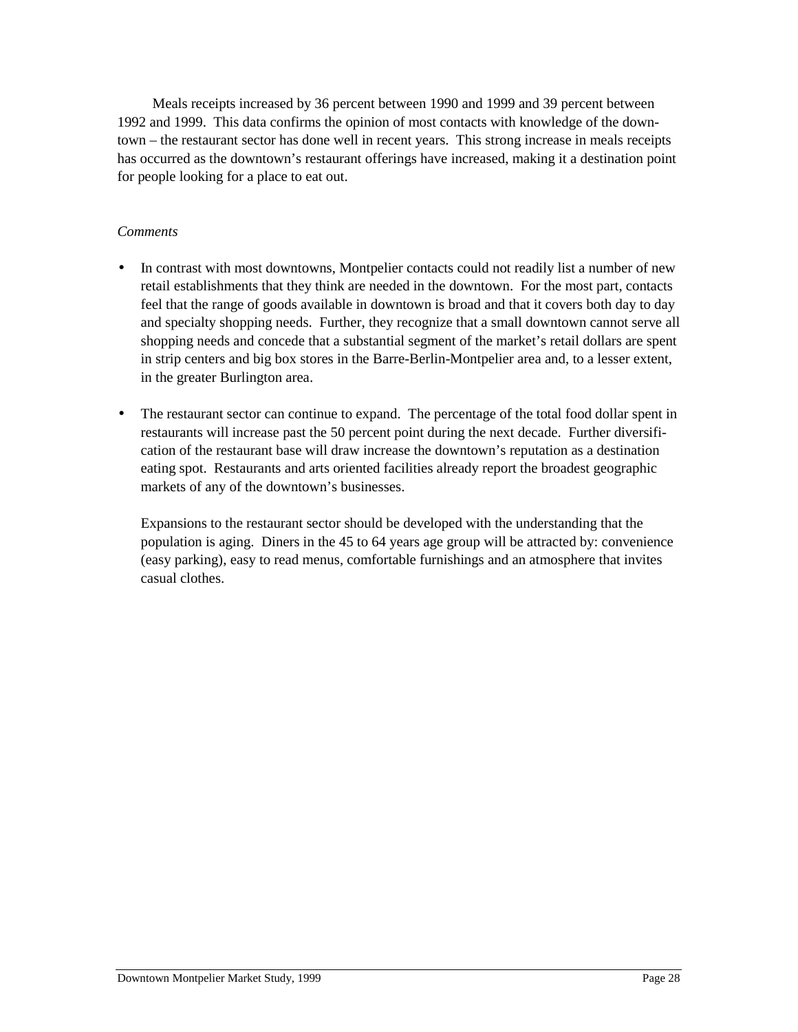Meals receipts increased by 36 percent between 1990 and 1999 and 39 percent between 1992 and 1999. This data confirms the opinion of most contacts with knowledge of the downtown – the restaurant sector has done well in recent years. This strong increase in meals receipts has occurred as the downtown's restaurant offerings have increased, making it a destination point for people looking for a place to eat out.

#### *Comments*

- In contrast with most downtowns, Montpelier contacts could not readily list a number of new retail establishments that they think are needed in the downtown. For the most part, contacts feel that the range of goods available in downtown is broad and that it covers both day to day and specialty shopping needs. Further, they recognize that a small downtown cannot serve all shopping needs and concede that a substantial segment of the market's retail dollars are spent in strip centers and big box stores in the Barre-Berlin-Montpelier area and, to a lesser extent, in the greater Burlington area.
- The restaurant sector can continue to expand. The percentage of the total food dollar spent in restaurants will increase past the 50 percent point during the next decade. Further diversification of the restaurant base will draw increase the downtown's reputation as a destination eating spot. Restaurants and arts oriented facilities already report the broadest geographic markets of any of the downtown's businesses.

Expansions to the restaurant sector should be developed with the understanding that the population is aging. Diners in the 45 to 64 years age group will be attracted by: convenience (easy parking), easy to read menus, comfortable furnishings and an atmosphere that invites casual clothes.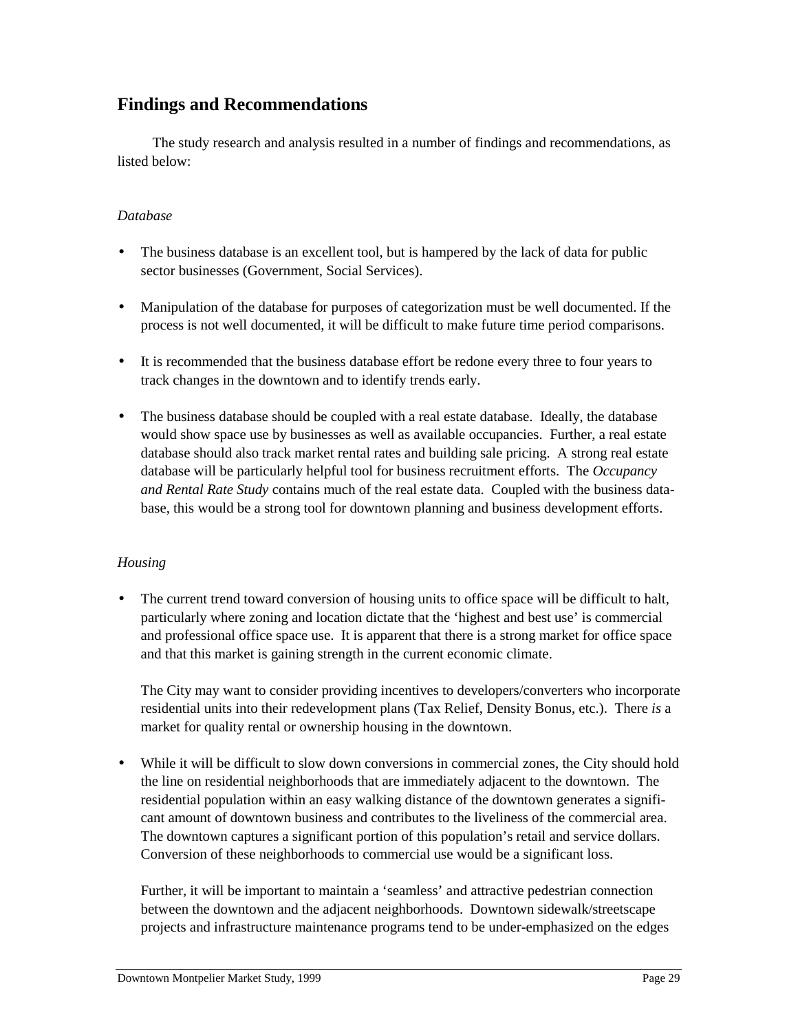## **Findings and Recommendations**

The study research and analysis resulted in a number of findings and recommendations, as listed below:

#### *Database*

- The business database is an excellent tool, but is hampered by the lack of data for public sector businesses (Government, Social Services).
- Manipulation of the database for purposes of categorization must be well documented. If the process is not well documented, it will be difficult to make future time period comparisons.
- It is recommended that the business database effort be redone every three to four years to track changes in the downtown and to identify trends early.
- The business database should be coupled with a real estate database. Ideally, the database would show space use by businesses as well as available occupancies. Further, a real estate database should also track market rental rates and building sale pricing. A strong real estate database will be particularly helpful tool for business recruitment efforts. The *Occupancy and Rental Rate Study* contains much of the real estate data. Coupled with the business database, this would be a strong tool for downtown planning and business development efforts.

#### *Housing*

• The current trend toward conversion of housing units to office space will be difficult to halt, particularly where zoning and location dictate that the 'highest and best use' is commercial and professional office space use. It is apparent that there is a strong market for office space and that this market is gaining strength in the current economic climate.

The City may want to consider providing incentives to developers/converters who incorporate residential units into their redevelopment plans (Tax Relief, Density Bonus, etc.). There *is* a market for quality rental or ownership housing in the downtown.

• While it will be difficult to slow down conversions in commercial zones, the City should hold the line on residential neighborhoods that are immediately adjacent to the downtown. The residential population within an easy walking distance of the downtown generates a significant amount of downtown business and contributes to the liveliness of the commercial area. The downtown captures a significant portion of this population's retail and service dollars. Conversion of these neighborhoods to commercial use would be a significant loss.

Further, it will be important to maintain a 'seamless' and attractive pedestrian connection between the downtown and the adjacent neighborhoods. Downtown sidewalk/streetscape projects and infrastructure maintenance programs tend to be under-emphasized on the edges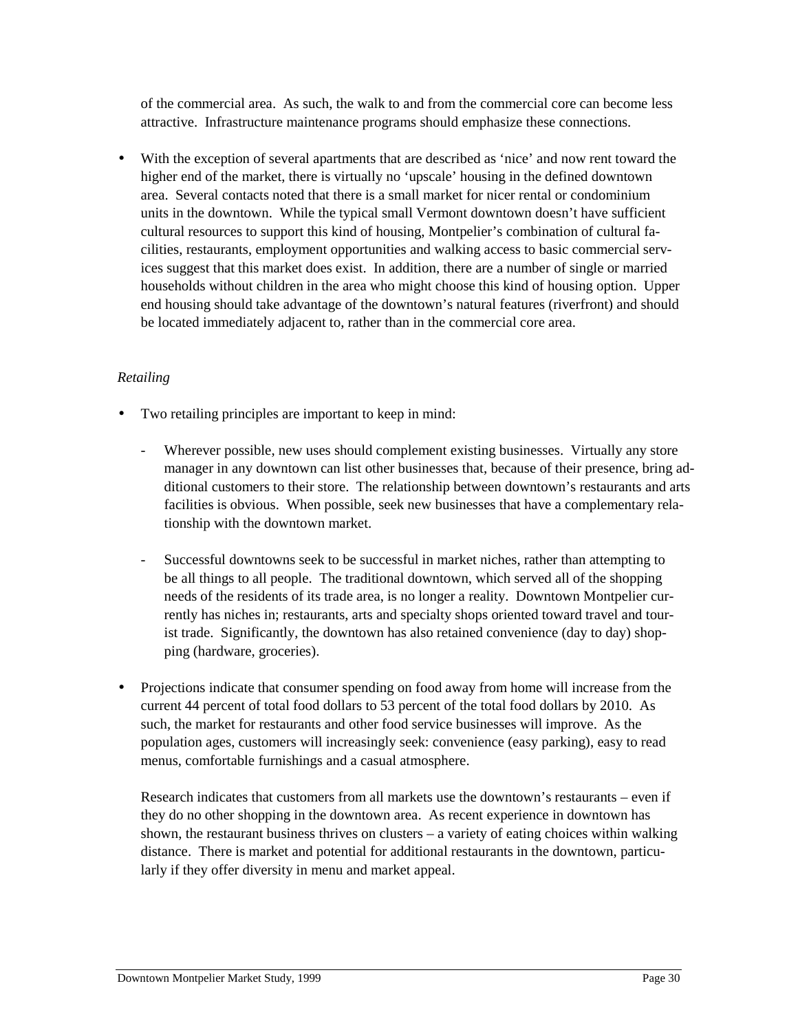of the commercial area. As such, the walk to and from the commercial core can become less attractive. Infrastructure maintenance programs should emphasize these connections.

• With the exception of several apartments that are described as 'nice' and now rent toward the higher end of the market, there is virtually no 'upscale' housing in the defined downtown area. Several contacts noted that there is a small market for nicer rental or condominium units in the downtown. While the typical small Vermont downtown doesn't have sufficient cultural resources to support this kind of housing, Montpelier's combination of cultural facilities, restaurants, employment opportunities and walking access to basic commercial services suggest that this market does exist. In addition, there are a number of single or married households without children in the area who might choose this kind of housing option. Upper end housing should take advantage of the downtown's natural features (riverfront) and should be located immediately adjacent to, rather than in the commercial core area.

#### *Retailing*

- Two retailing principles are important to keep in mind:
	- Wherever possible, new uses should complement existing businesses. Virtually any store manager in any downtown can list other businesses that, because of their presence, bring additional customers to their store. The relationship between downtown's restaurants and arts facilities is obvious. When possible, seek new businesses that have a complementary relationship with the downtown market.
	- Successful downtowns seek to be successful in market niches, rather than attempting to be all things to all people. The traditional downtown, which served all of the shopping needs of the residents of its trade area, is no longer a reality. Downtown Montpelier currently has niches in; restaurants, arts and specialty shops oriented toward travel and tourist trade. Significantly, the downtown has also retained convenience (day to day) shopping (hardware, groceries).
- Projections indicate that consumer spending on food away from home will increase from the current 44 percent of total food dollars to 53 percent of the total food dollars by 2010. As such, the market for restaurants and other food service businesses will improve. As the population ages, customers will increasingly seek: convenience (easy parking), easy to read menus, comfortable furnishings and a casual atmosphere.

Research indicates that customers from all markets use the downtown's restaurants – even if they do no other shopping in the downtown area. As recent experience in downtown has shown, the restaurant business thrives on clusters – a variety of eating choices within walking distance. There is market and potential for additional restaurants in the downtown, particularly if they offer diversity in menu and market appeal.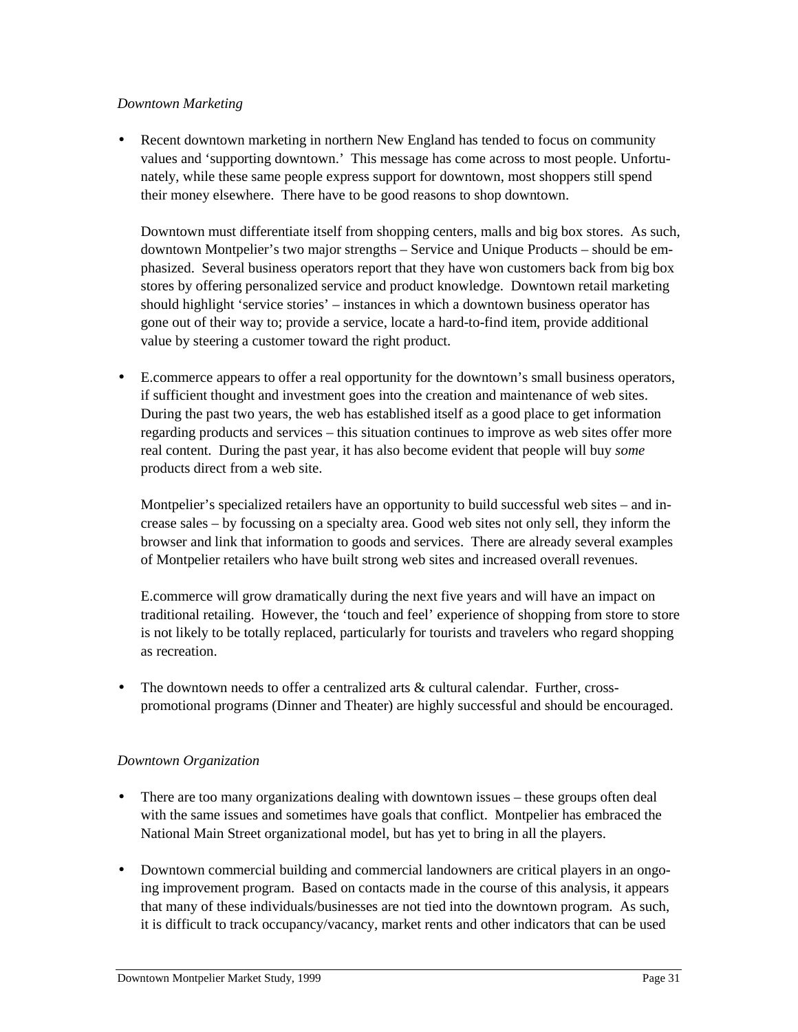#### *Downtown Marketing*

• Recent downtown marketing in northern New England has tended to focus on community values and 'supporting downtown.' This message has come across to most people. Unfortunately, while these same people express support for downtown, most shoppers still spend their money elsewhere. There have to be good reasons to shop downtown.

Downtown must differentiate itself from shopping centers, malls and big box stores. As such, downtown Montpelier's two major strengths – Service and Unique Products – should be emphasized. Several business operators report that they have won customers back from big box stores by offering personalized service and product knowledge. Downtown retail marketing should highlight 'service stories' – instances in which a downtown business operator has gone out of their way to; provide a service, locate a hard-to-find item, provide additional value by steering a customer toward the right product.

• E.commerce appears to offer a real opportunity for the downtown's small business operators, if sufficient thought and investment goes into the creation and maintenance of web sites. During the past two years, the web has established itself as a good place to get information regarding products and services – this situation continues to improve as web sites offer more real content. During the past year, it has also become evident that people will buy *some* products direct from a web site.

Montpelier's specialized retailers have an opportunity to build successful web sites – and increase sales – by focussing on a specialty area. Good web sites not only sell, they inform the browser and link that information to goods and services. There are already several examples of Montpelier retailers who have built strong web sites and increased overall revenues.

E.commerce will grow dramatically during the next five years and will have an impact on traditional retailing. However, the 'touch and feel' experience of shopping from store to store is not likely to be totally replaced, particularly for tourists and travelers who regard shopping as recreation.

The downtown needs to offer a centralized arts  $\&$  cultural calendar. Further, crosspromotional programs (Dinner and Theater) are highly successful and should be encouraged.

#### *Downtown Organization*

- There are too many organizations dealing with downtown issues these groups often deal with the same issues and sometimes have goals that conflict. Montpelier has embraced the National Main Street organizational model, but has yet to bring in all the players.
- Downtown commercial building and commercial landowners are critical players in an ongoing improvement program. Based on contacts made in the course of this analysis, it appears that many of these individuals/businesses are not tied into the downtown program. As such, it is difficult to track occupancy/vacancy, market rents and other indicators that can be used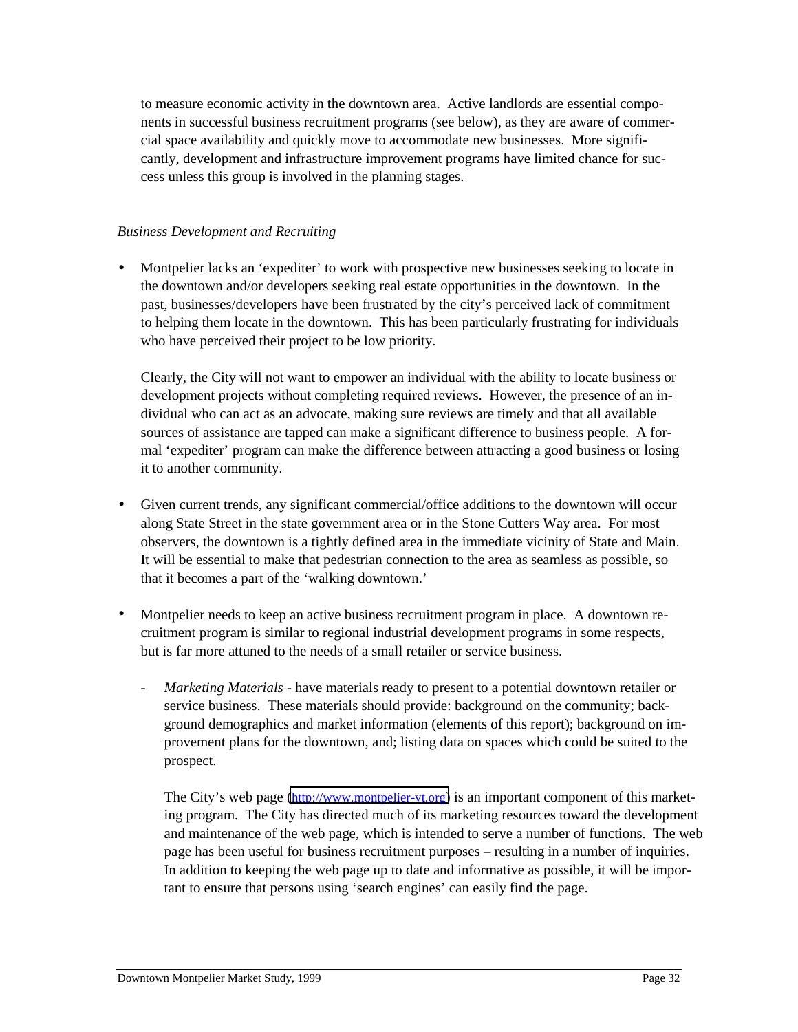to measure economic activity in the downtown area. Active landlords are essential components in successful business recruitment programs (see below), as they are aware of commercial space availability and quickly move to accommodate new businesses. More significantly, development and infrastructure improvement programs have limited chance for success unless this group is involved in the planning stages.

#### *Business Development and Recruiting*

• Montpelier lacks an 'expediter' to work with prospective new businesses seeking to locate in the downtown and/or developers seeking real estate opportunities in the downtown. In the past, businesses/developers have been frustrated by the city's perceived lack of commitment to helping them locate in the downtown. This has been particularly frustrating for individuals who have perceived their project to be low priority.

Clearly, the City will not want to empower an individual with the ability to locate business or development projects without completing required reviews. However, the presence of an individual who can act as an advocate, making sure reviews are timely and that all available sources of assistance are tapped can make a significant difference to business people. A formal 'expediter' program can make the difference between attracting a good business or losing it to another community.

- Given current trends, any significant commercial/office additions to the downtown will occur along State Street in the state government area or in the Stone Cutters Way area. For most observers, the downtown is a tightly defined area in the immediate vicinity of State and Main. It will be essential to make that pedestrian connection to the area as seamless as possible, so that it becomes a part of the 'walking downtown.'
- Montpelier needs to keep an active business recruitment program in place. A downtown recruitment program is similar to regional industrial development programs in some respects, but is far more attuned to the needs of a small retailer or service business.
	- *Marketing Materials -* have materials ready to present to a potential downtown retailer or service business. These materials should provide: background on the community; background demographics and market information (elements of this report); background on improvement plans for the downtown, and; listing data on spaces which could be suited to the prospect.

The City's web page [\(http://www.montpelier-vt.org\)](http://www.montpelier-vt.org/) is an important component of this marketing program. The City has directed much of its marketing resources toward the development and maintenance of the web page, which is intended to serve a number of functions. The web page has been useful for business recruitment purposes – resulting in a number of inquiries. In addition to keeping the web page up to date and informative as possible, it will be important to ensure that persons using 'search engines' can easily find the page.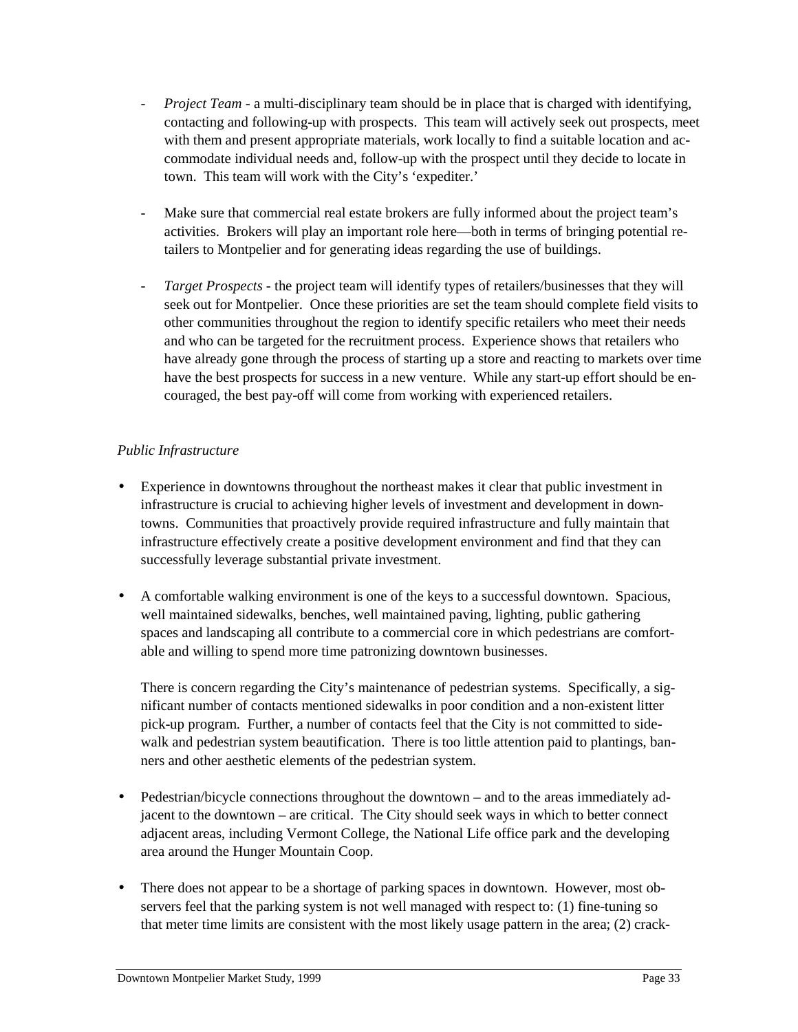- *Project Team -* a multi-disciplinary team should be in place that is charged with identifying, contacting and following-up with prospects. This team will actively seek out prospects, meet with them and present appropriate materials, work locally to find a suitable location and accommodate individual needs and, follow-up with the prospect until they decide to locate in town. This team will work with the City's 'expediter.'
- Make sure that commercial real estate brokers are fully informed about the project team's activities. Brokers will play an important role here—both in terms of bringing potential retailers to Montpelier and for generating ideas regarding the use of buildings.
- *Target Prospects -* the project team will identify types of retailers/businesses that they will seek out for Montpelier. Once these priorities are set the team should complete field visits to other communities throughout the region to identify specific retailers who meet their needs and who can be targeted for the recruitment process. Experience shows that retailers who have already gone through the process of starting up a store and reacting to markets over time have the best prospects for success in a new venture. While any start-up effort should be encouraged, the best pay-off will come from working with experienced retailers.

#### *Public Infrastructure*

- Experience in downtowns throughout the northeast makes it clear that public investment in infrastructure is crucial to achieving higher levels of investment and development in downtowns. Communities that proactively provide required infrastructure and fully maintain that infrastructure effectively create a positive development environment and find that they can successfully leverage substantial private investment.
- A comfortable walking environment is one of the keys to a successful downtown. Spacious, well maintained sidewalks, benches, well maintained paving, lighting, public gathering spaces and landscaping all contribute to a commercial core in which pedestrians are comfortable and willing to spend more time patronizing downtown businesses.

There is concern regarding the City's maintenance of pedestrian systems. Specifically, a significant number of contacts mentioned sidewalks in poor condition and a non-existent litter pick-up program. Further, a number of contacts feel that the City is not committed to sidewalk and pedestrian system beautification. There is too little attention paid to plantings, banners and other aesthetic elements of the pedestrian system.

- Pedestrian/bicycle connections throughout the downtown and to the areas immediately adjacent to the downtown – are critical. The City should seek ways in which to better connect adjacent areas, including Vermont College, the National Life office park and the developing area around the Hunger Mountain Coop.
- There does not appear to be a shortage of parking spaces in downtown. However, most observers feel that the parking system is not well managed with respect to: (1) fine-tuning so that meter time limits are consistent with the most likely usage pattern in the area; (2) crack-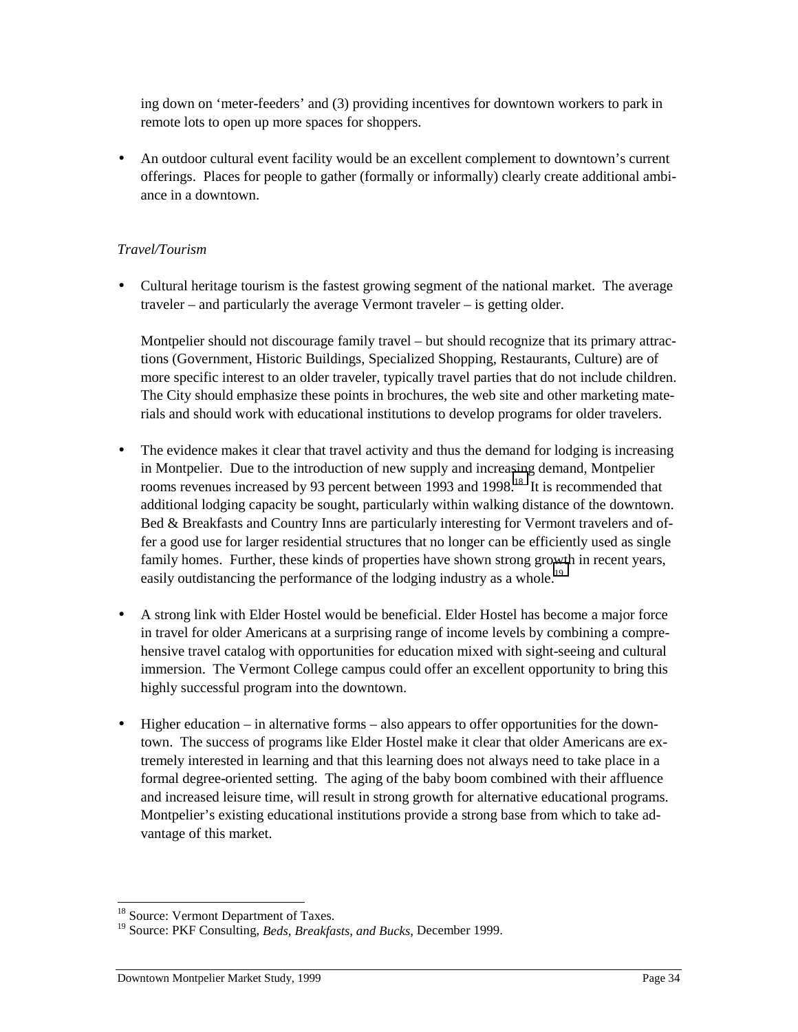ing down on 'meter-feeders' and (3) providing incentives for downtown workers to park in remote lots to open up more spaces for shoppers.

• An outdoor cultural event facility would be an excellent complement to downtown's current offerings. Places for people to gather (formally or informally) clearly create additional ambiance in a downtown.

#### *Travel/Tourism*

• Cultural heritage tourism is the fastest growing segment of the national market. The average traveler – and particularly the average Vermont traveler – is getting older.

Montpelier should not discourage family travel – but should recognize that its primary attractions (Government, Historic Buildings, Specialized Shopping, Restaurants, Culture) are of more specific interest to an older traveler, typically travel parties that do not include children. The City should emphasize these points in brochures, the web site and other marketing materials and should work with educational institutions to develop programs for older travelers.

- The evidence makes it clear that travel activity and thus the demand for lodging is increasing in Montpelier. Due to the introduction of new supply and increasing demand, Montpelier rooms revenues increased by 93 percent between 1993 and 1998.<sup>18</sup> It is recommended that additional lodging capacity be sought, particularly within walking distance of the downtown. Bed & Breakfasts and Country Inns are particularly interesting for Vermont travelers and offer a good use for larger residential structures that no longer can be efficiently used as single family homes. Further, these kinds of properties have shown strong growth in recent years, easily outdistancing the performance of the lodging industry as a whole.<sup>19</sup>
- A strong link with Elder Hostel would be beneficial. Elder Hostel has become a major force in travel for older Americans at a surprising range of income levels by combining a comprehensive travel catalog with opportunities for education mixed with sight-seeing and cultural immersion. The Vermont College campus could offer an excellent opportunity to bring this highly successful program into the downtown.
- Higher education in alternative forms also appears to offer opportunities for the downtown. The success of programs like Elder Hostel make it clear that older Americans are extremely interested in learning and that this learning does not always need to take place in a formal degree-oriented setting. The aging of the baby boom combined with their affluence and increased leisure time, will result in strong growth for alternative educational programs. Montpelier's existing educational institutions provide a strong base from which to take advantage of this market.

 $\overline{a}$ <sup>18</sup> Source: Vermont Department of Taxes.

<sup>19</sup> Source: PKF Consulting, *Beds, Breakfasts, and Bucks,* December 1999.